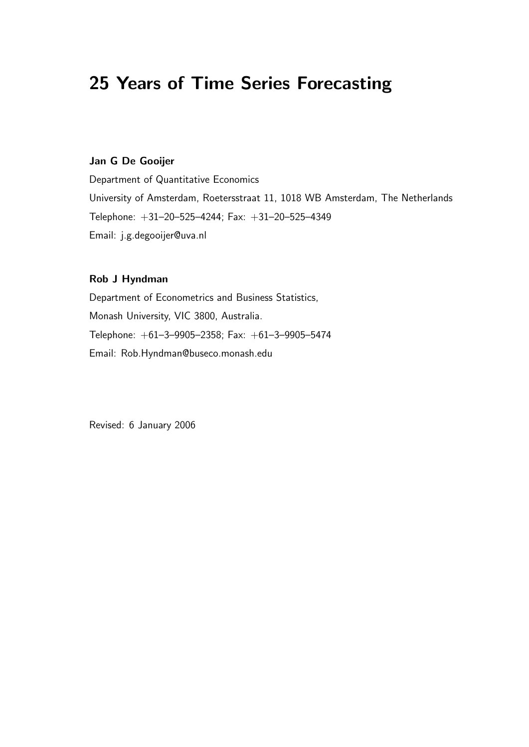# 25 Years of Time Series Forecasting

#### Jan G De Gooijer

Department of Quantitative Economics University of Amsterdam, Roetersstraat 11, 1018 WB Amsterdam, The Netherlands Telephone: +31–20–525–4244; Fax: +31–20–525–4349 Email: j.g.degooijer@uva.nl

### Rob J Hyndman

Department of Econometrics and Business Statistics, Monash University, VIC 3800, Australia. Telephone: +61–3–9905–2358; Fax: +61–3–9905–5474 Email: Rob.Hyndman@buseco.monash.edu

Revised: 6 January 2006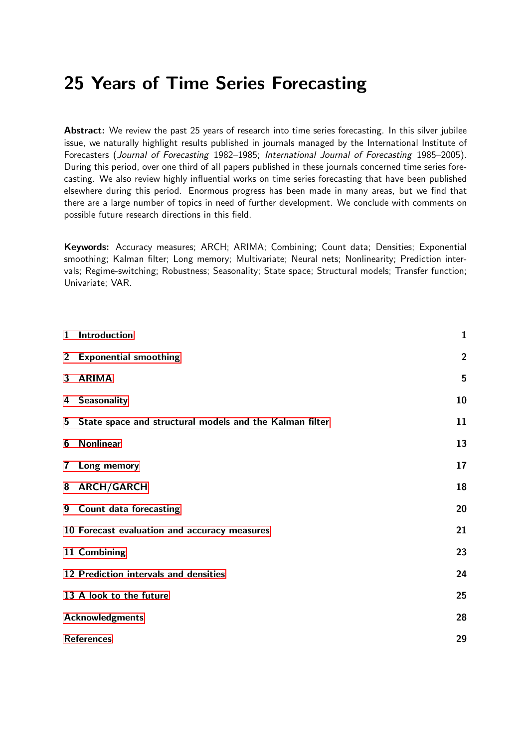# 25 Years of Time Series Forecasting

Abstract: We review the past 25 years of research into time series forecasting. In this silver jubilee issue, we naturally highlight results published in journals managed by the International Institute of Forecasters (Journal of Forecasting 1982–1985; International Journal of Forecasting 1985–2005). During this period, over one third of all papers published in these journals concerned time series forecasting. We also review highly influential works on time series forecasting that have been published elsewhere during this period. Enormous progress has been made in many areas, but we find that there are a large number of topics in need of further development. We conclude with comments on possible future research directions in this field.

Keywords: Accuracy measures; ARCH; ARIMA; Combining; Count data; Densities; Exponential smoothing; Kalman filter; Long memory; Multivariate; Neural nets; Nonlinearity; Prediction intervals; Regime-switching; Robustness; Seasonality; State space; Structural models; Transfer function; Univariate; VAR.

| $\mathbf{1}$            | Introduction                                            | $\mathbf{1}$   |  |
|-------------------------|---------------------------------------------------------|----------------|--|
| $2^{\circ}$             | <b>Exponential smoothing</b>                            | $\overline{2}$ |  |
| $\overline{\mathbf{3}}$ | <b>ARIMA</b>                                            | 5              |  |
| 4                       | <b>Seasonality</b>                                      | 10             |  |
| 5                       | State space and structural models and the Kalman filter | 11             |  |
| 6                       | <b>Nonlinear</b>                                        | 13             |  |
| $\overline{\mathbf{r}}$ | Long memory                                             | 17             |  |
| 8                       | <b>ARCH/GARCH</b>                                       | 18             |  |
|                         | 9 Count data forecasting                                | 20             |  |
|                         | 10 Forecast evaluation and accuracy measures            | 21             |  |
|                         | 11 Combining                                            | 23             |  |
|                         | 12 Prediction intervals and densities                   | 24             |  |
|                         | 13 A look to the future                                 | 25             |  |
|                         | <b>Acknowledgments</b>                                  |                |  |
|                         | <b>References</b>                                       | 29             |  |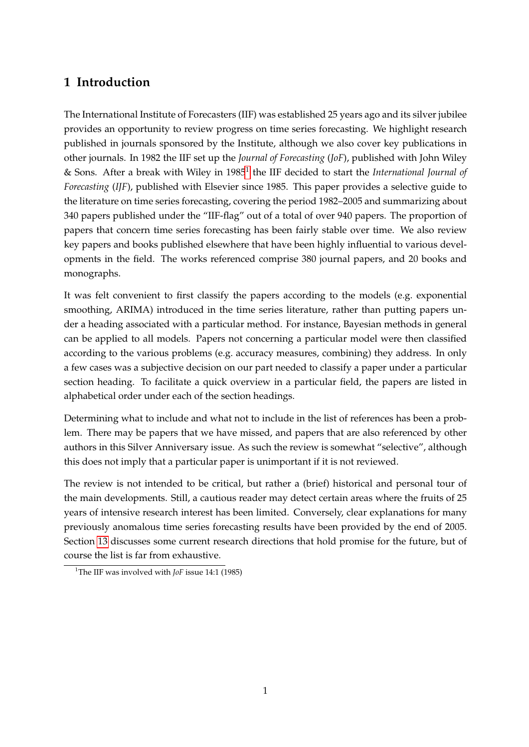## <span id="page-2-0"></span>**1 Introduction**

The International Institute of Forecasters (IIF) was established 25 years ago and its silver jubilee provides an opportunity to review progress on time series forecasting. We highlight research published in journals sponsored by the Institute, although we also cover key publications in other journals. In 1982 the IIF set up the *Journal of Forecasting* (*JoF*), published with John Wiley & Sons. After a break with Wiley in [1](#page-2-1)985<sup>1</sup> the IIF decided to start the *International Journal of Forecasting* (*IJF*), published with Elsevier since 1985. This paper provides a selective guide to the literature on time series forecasting, covering the period 1982–2005 and summarizing about 340 papers published under the "IIF-flag" out of a total of over 940 papers. The proportion of papers that concern time series forecasting has been fairly stable over time. We also review key papers and books published elsewhere that have been highly influential to various developments in the field. The works referenced comprise 380 journal papers, and 20 books and monographs.

It was felt convenient to first classify the papers according to the models (e.g. exponential smoothing, ARIMA) introduced in the time series literature, rather than putting papers under a heading associated with a particular method. For instance, Bayesian methods in general can be applied to all models. Papers not concerning a particular model were then classified according to the various problems (e.g. accuracy measures, combining) they address. In only a few cases was a subjective decision on our part needed to classify a paper under a particular section heading. To facilitate a quick overview in a particular field, the papers are listed in alphabetical order under each of the section headings.

Determining what to include and what not to include in the list of references has been a problem. There may be papers that we have missed, and papers that are also referenced by other authors in this Silver Anniversary issue. As such the review is somewhat "selective", although this does not imply that a particular paper is unimportant if it is not reviewed.

The review is not intended to be critical, but rather a (brief) historical and personal tour of the main developments. Still, a cautious reader may detect certain areas where the fruits of 25 years of intensive research interest has been limited. Conversely, clear explanations for many previously anomalous time series forecasting results have been provided by the end of 2005. Section [13](#page-26-0) discusses some current research directions that hold promise for the future, but of course the list is far from exhaustive.

<span id="page-2-1"></span><sup>&</sup>lt;sup>1</sup>The IIF was involved with *JoF* issue 14:1 (1985)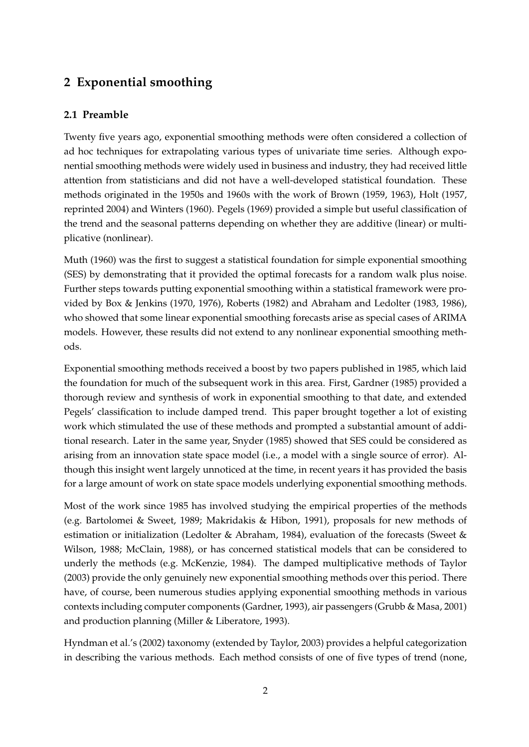## <span id="page-3-0"></span>**2 Exponential smoothing**

### **2.1 Preamble**

Twenty five years ago, exponential smoothing methods were often considered a collection of ad hoc techniques for extrapolating various types of univariate time series. Although exponential smoothing methods were widely used in business and industry, they had received little attention from statisticians and did not have a well-developed statistical foundation. These methods originated in the 1950s and 1960s with the work of Brown (1959, 1963), Holt (1957, reprinted 2004) and Winters (1960). Pegels (1969) provided a simple but useful classification of the trend and the seasonal patterns depending on whether they are additive (linear) or multiplicative (nonlinear).

Muth (1960) was the first to suggest a statistical foundation for simple exponential smoothing (SES) by demonstrating that it provided the optimal forecasts for a random walk plus noise. Further steps towards putting exponential smoothing within a statistical framework were provided by Box & Jenkins (1970, 1976), Roberts (1982) and Abraham and Ledolter (1983, 1986), who showed that some linear exponential smoothing forecasts arise as special cases of ARIMA models. However, these results did not extend to any nonlinear exponential smoothing methods.

Exponential smoothing methods received a boost by two papers published in 1985, which laid the foundation for much of the subsequent work in this area. First, Gardner (1985) provided a thorough review and synthesis of work in exponential smoothing to that date, and extended Pegels' classification to include damped trend. This paper brought together a lot of existing work which stimulated the use of these methods and prompted a substantial amount of additional research. Later in the same year, Snyder (1985) showed that SES could be considered as arising from an innovation state space model (i.e., a model with a single source of error). Although this insight went largely unnoticed at the time, in recent years it has provided the basis for a large amount of work on state space models underlying exponential smoothing methods.

Most of the work since 1985 has involved studying the empirical properties of the methods (e.g. Bartolomei & Sweet, 1989; Makridakis & Hibon, 1991), proposals for new methods of estimation or initialization (Ledolter & Abraham, 1984), evaluation of the forecasts (Sweet & Wilson, 1988; McClain, 1988), or has concerned statistical models that can be considered to underly the methods (e.g. McKenzie, 1984). The damped multiplicative methods of Taylor (2003) provide the only genuinely new exponential smoothing methods over this period. There have, of course, been numerous studies applying exponential smoothing methods in various contexts including computer components (Gardner, 1993), air passengers (Grubb & Masa, 2001) and production planning (Miller & Liberatore, 1993).

Hyndman et al.'s (2002) taxonomy (extended by Taylor, 2003) provides a helpful categorization in describing the various methods. Each method consists of one of five types of trend (none,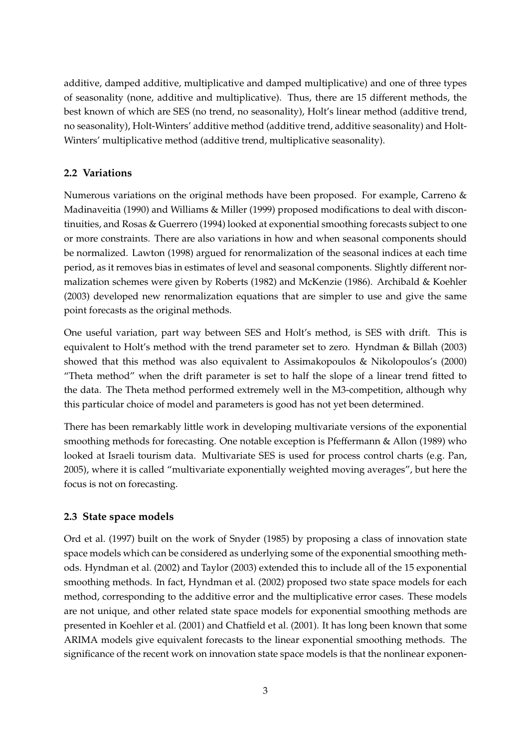additive, damped additive, multiplicative and damped multiplicative) and one of three types of seasonality (none, additive and multiplicative). Thus, there are 15 different methods, the best known of which are SES (no trend, no seasonality), Holt's linear method (additive trend, no seasonality), Holt-Winters' additive method (additive trend, additive seasonality) and Holt-Winters' multiplicative method (additive trend, multiplicative seasonality).

### **2.2 Variations**

Numerous variations on the original methods have been proposed. For example, Carreno & Madinaveitia (1990) and Williams & Miller (1999) proposed modifications to deal with discontinuities, and Rosas & Guerrero (1994) looked at exponential smoothing forecasts subject to one or more constraints. There are also variations in how and when seasonal components should be normalized. Lawton (1998) argued for renormalization of the seasonal indices at each time period, as it removes bias in estimates of level and seasonal components. Slightly different normalization schemes were given by Roberts (1982) and McKenzie (1986). Archibald & Koehler (2003) developed new renormalization equations that are simpler to use and give the same point forecasts as the original methods.

One useful variation, part way between SES and Holt's method, is SES with drift. This is equivalent to Holt's method with the trend parameter set to zero. Hyndman & Billah (2003) showed that this method was also equivalent to Assimakopoulos & Nikolopoulos's (2000) "Theta method" when the drift parameter is set to half the slope of a linear trend fitted to the data. The Theta method performed extremely well in the M3-competition, although why this particular choice of model and parameters is good has not yet been determined.

There has been remarkably little work in developing multivariate versions of the exponential smoothing methods for forecasting. One notable exception is Pfeffermann & Allon (1989) who looked at Israeli tourism data. Multivariate SES is used for process control charts (e.g. Pan, 2005), where it is called "multivariate exponentially weighted moving averages", but here the focus is not on forecasting.

### **2.3 State space models**

Ord et al. (1997) built on the work of Snyder (1985) by proposing a class of innovation state space models which can be considered as underlying some of the exponential smoothing methods. Hyndman et al. (2002) and Taylor (2003) extended this to include all of the 15 exponential smoothing methods. In fact, Hyndman et al. (2002) proposed two state space models for each method, corresponding to the additive error and the multiplicative error cases. These models are not unique, and other related state space models for exponential smoothing methods are presented in Koehler et al. (2001) and Chatfield et al. (2001). It has long been known that some ARIMA models give equivalent forecasts to the linear exponential smoothing methods. The significance of the recent work on innovation state space models is that the nonlinear exponen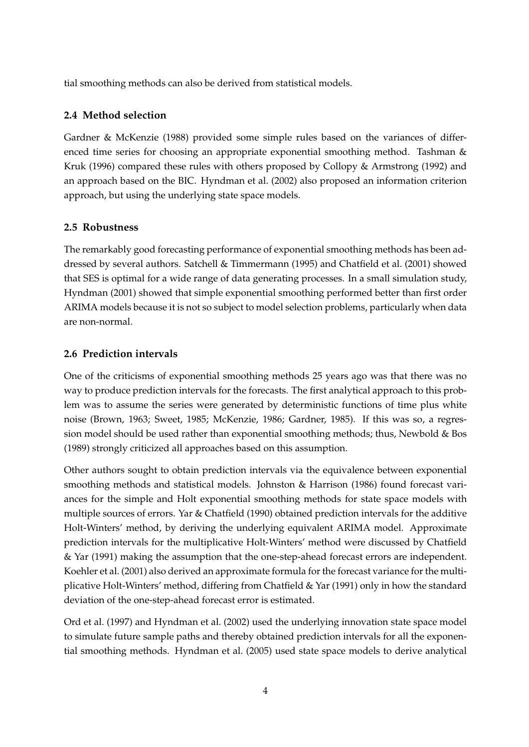tial smoothing methods can also be derived from statistical models.

### **2.4 Method selection**

Gardner & McKenzie (1988) provided some simple rules based on the variances of differenced time series for choosing an appropriate exponential smoothing method. Tashman & Kruk (1996) compared these rules with others proposed by Collopy & Armstrong (1992) and an approach based on the BIC. Hyndman et al. (2002) also proposed an information criterion approach, but using the underlying state space models.

### **2.5 Robustness**

The remarkably good forecasting performance of exponential smoothing methods has been addressed by several authors. Satchell & Timmermann (1995) and Chatfield et al. (2001) showed that SES is optimal for a wide range of data generating processes. In a small simulation study, Hyndman (2001) showed that simple exponential smoothing performed better than first order ARIMA models because it is not so subject to model selection problems, particularly when data are non-normal.

### **2.6 Prediction intervals**

One of the criticisms of exponential smoothing methods 25 years ago was that there was no way to produce prediction intervals for the forecasts. The first analytical approach to this problem was to assume the series were generated by deterministic functions of time plus white noise (Brown, 1963; Sweet, 1985; McKenzie, 1986; Gardner, 1985). If this was so, a regression model should be used rather than exponential smoothing methods; thus, Newbold & Bos (1989) strongly criticized all approaches based on this assumption.

Other authors sought to obtain prediction intervals via the equivalence between exponential smoothing methods and statistical models. Johnston & Harrison (1986) found forecast variances for the simple and Holt exponential smoothing methods for state space models with multiple sources of errors. Yar & Chatfield (1990) obtained prediction intervals for the additive Holt-Winters' method, by deriving the underlying equivalent ARIMA model. Approximate prediction intervals for the multiplicative Holt-Winters' method were discussed by Chatfield & Yar (1991) making the assumption that the one-step-ahead forecast errors are independent. Koehler et al. (2001) also derived an approximate formula for the forecast variance for the multiplicative Holt-Winters' method, differing from Chatfield & Yar (1991) only in how the standard deviation of the one-step-ahead forecast error is estimated.

Ord et al. (1997) and Hyndman et al. (2002) used the underlying innovation state space model to simulate future sample paths and thereby obtained prediction intervals for all the exponential smoothing methods. Hyndman et al. (2005) used state space models to derive analytical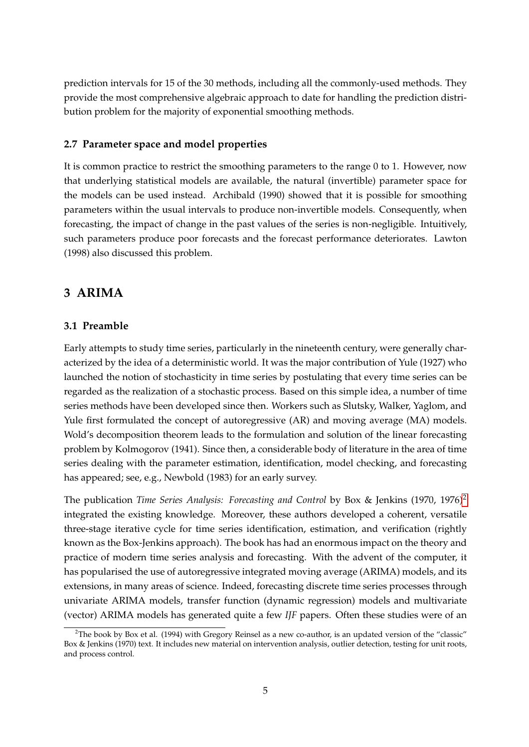prediction intervals for 15 of the 30 methods, including all the commonly-used methods. They provide the most comprehensive algebraic approach to date for handling the prediction distribution problem for the majority of exponential smoothing methods.

#### **2.7 Parameter space and model properties**

It is common practice to restrict the smoothing parameters to the range 0 to 1. However, now that underlying statistical models are available, the natural (invertible) parameter space for the models can be used instead. Archibald (1990) showed that it is possible for smoothing parameters within the usual intervals to produce non-invertible models. Consequently, when forecasting, the impact of change in the past values of the series is non-negligible. Intuitively, such parameters produce poor forecasts and the forecast performance deteriorates. Lawton (1998) also discussed this problem.

## <span id="page-6-0"></span>**3 ARIMA**

#### **3.1 Preamble**

Early attempts to study time series, particularly in the nineteenth century, were generally characterized by the idea of a deterministic world. It was the major contribution of Yule (1927) who launched the notion of stochasticity in time series by postulating that every time series can be regarded as the realization of a stochastic process. Based on this simple idea, a number of time series methods have been developed since then. Workers such as Slutsky, Walker, Yaglom, and Yule first formulated the concept of autoregressive (AR) and moving average (MA) models. Wold's decomposition theorem leads to the formulation and solution of the linear forecasting problem by Kolmogorov (1941). Since then, a considerable body of literature in the area of time series dealing with the parameter estimation, identification, model checking, and forecasting has appeared; see, e.g., Newbold (1983) for an early survey.

The publication *Time Series Analysis: Forecasting and Control* by Box & Jenkins (1970, 1976)[2](#page-6-1) integrated the existing knowledge. Moreover, these authors developed a coherent, versatile three-stage iterative cycle for time series identification, estimation, and verification (rightly known as the Box-Jenkins approach). The book has had an enormous impact on the theory and practice of modern time series analysis and forecasting. With the advent of the computer, it has popularised the use of autoregressive integrated moving average (ARIMA) models, and its extensions, in many areas of science. Indeed, forecasting discrete time series processes through univariate ARIMA models, transfer function (dynamic regression) models and multivariate (vector) ARIMA models has generated quite a few *IJF* papers. Often these studies were of an

<span id="page-6-1"></span> $2$ The book by Box et al. (1994) with Gregory Reinsel as a new co-author, is an updated version of the "classic" Box & Jenkins (1970) text. It includes new material on intervention analysis, outlier detection, testing for unit roots, and process control.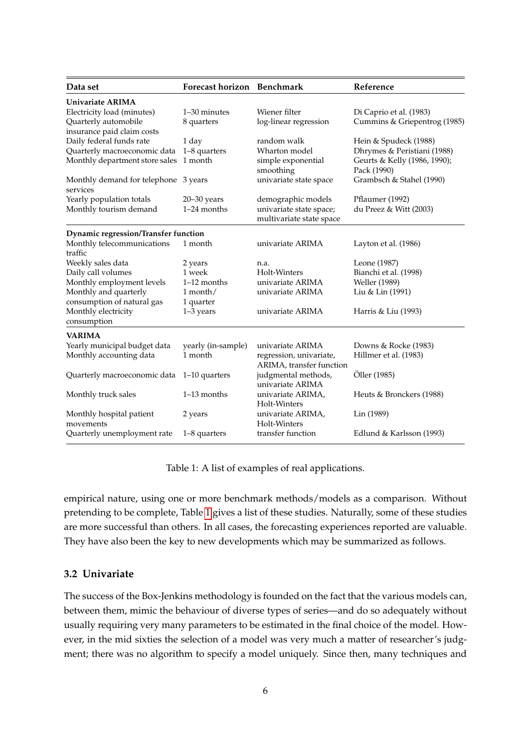| Data set                                            | Forecast horizon Benchmark |                                                     | Reference                                   |
|-----------------------------------------------------|----------------------------|-----------------------------------------------------|---------------------------------------------|
| Univariate ARIMA                                    |                            |                                                     |                                             |
| Electricity load (minutes)                          | 1-30 minutes               | Wiener filter                                       | Di Caprio et al. (1983)                     |
| Quarterly automobile<br>insurance paid claim costs  | 8 quarters                 | log-linear regression                               | Cummins & Griepentrog (1985)                |
| Daily federal funds rate                            | 1 day                      | random walk                                         | Hein & Spudeck (1988)                       |
| Quarterly macroeconomic data                        | 1-8 quarters               | Wharton model                                       | Dhrymes & Peristiani (1988)                 |
| Monthly department store sales                      | 1 month                    | simple exponential<br>smoothing                     | Geurts & Kelly (1986, 1990);<br>Pack (1990) |
| Monthly demand for telephone 3 years<br>services    |                            | univariate state space                              | Grambsch & Stahel (1990)                    |
| Yearly population totals                            | $20 - 30$ years            | demographic models                                  | Pflaumer (1992)                             |
| Monthly tourism demand                              | 1-24 months                | univariate state space;<br>multivariate state space | du Preez & Witt (2003)                      |
| Dynamic regression/Transfer function                |                            |                                                     |                                             |
| Monthly telecommunications<br>traffic               | 1 month                    | univariate ARIMA                                    | Layton et al. (1986)                        |
| Weekly sales data                                   | 2 years                    | n.a.                                                | Leone (1987)                                |
| Daily call volumes                                  | 1 week                     | Holt-Winters                                        | Bianchi et al. (1998)                       |
| Monthly employment levels                           | $1-12$ months              | univariate ARIMA                                    | Weller (1989)                               |
| Monthly and quarterly<br>consumption of natural gas | 1 month/<br>1 quarter      | univariate ARIMA                                    | Liu & Lin (1991)                            |
| Monthly electricity<br>consumption                  | $1-3$ years                | univariate ARIMA                                    | Harris & Liu (1993)                         |
| <b>VARIMA</b>                                       |                            |                                                     |                                             |
| Yearly municipal budget data                        | yearly (in-sample)         | univariate ARIMA                                    | Downs & Rocke (1983)                        |
| Monthly accounting data                             | 1 month                    | regression, univariate,<br>ARIMA, transfer function | Hillmer et al. (1983)                       |
| Quarterly macroeconomic data                        | 1-10 quarters              | judgmental methods,<br>univariate ARIMA             | Öller (1985)                                |
| Monthly truck sales                                 | $1-13$ months              | univariate ARIMA,<br>Holt-Winters                   | Heuts & Bronckers (1988)                    |
| Monthly hospital patient<br>movements               | 2 years                    | univariate ARIMA,<br>Holt-Winters                   | Lin (1989)                                  |
| Quarterly unemployment rate                         | 1-8 quarters               | transfer function                                   | Edlund & Karlsson (1993)                    |

<span id="page-7-0"></span>Table 1: A list of examples of real applications.

empirical nature, using one or more benchmark methods/models as a comparison. Without pretending to be complete, Table [1](#page-7-0) gives a list of these studies. Naturally, some of these studies are more successful than others. In all cases, the forecasting experiences reported are valuable. They have also been the key to new developments which may be summarized as follows.

#### **3.2 Univariate**

The success of the Box-Jenkins methodology is founded on the fact that the various models can, between them, mimic the behaviour of diverse types of series—and do so adequately without usually requiring very many parameters to be estimated in the final choice of the model. However, in the mid sixties the selection of a model was very much a matter of researcher's judgment; there was no algorithm to specify a model uniquely. Since then, many techniques and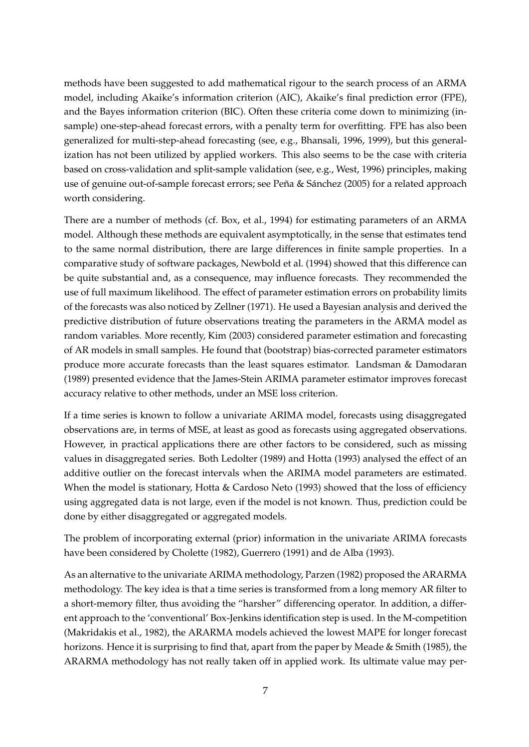methods have been suggested to add mathematical rigour to the search process of an ARMA model, including Akaike's information criterion (AIC), Akaike's final prediction error (FPE), and the Bayes information criterion (BIC). Often these criteria come down to minimizing (insample) one-step-ahead forecast errors, with a penalty term for overfitting. FPE has also been generalized for multi-step-ahead forecasting (see, e.g., Bhansali, 1996, 1999), but this generalization has not been utilized by applied workers. This also seems to be the case with criteria based on cross-validation and split-sample validation (see, e.g., West, 1996) principles, making use of genuine out-of-sample forecast errors; see Peña & Sánchez (2005) for a related approach worth considering.

There are a number of methods (cf. Box, et al., 1994) for estimating parameters of an ARMA model. Although these methods are equivalent asymptotically, in the sense that estimates tend to the same normal distribution, there are large differences in finite sample properties. In a comparative study of software packages, Newbold et al. (1994) showed that this difference can be quite substantial and, as a consequence, may influence forecasts. They recommended the use of full maximum likelihood. The effect of parameter estimation errors on probability limits of the forecasts was also noticed by Zellner (1971). He used a Bayesian analysis and derived the predictive distribution of future observations treating the parameters in the ARMA model as random variables. More recently, Kim (2003) considered parameter estimation and forecasting of AR models in small samples. He found that (bootstrap) bias-corrected parameter estimators produce more accurate forecasts than the least squares estimator. Landsman & Damodaran (1989) presented evidence that the James-Stein ARIMA parameter estimator improves forecast accuracy relative to other methods, under an MSE loss criterion.

If a time series is known to follow a univariate ARIMA model, forecasts using disaggregated observations are, in terms of MSE, at least as good as forecasts using aggregated observations. However, in practical applications there are other factors to be considered, such as missing values in disaggregated series. Both Ledolter (1989) and Hotta (1993) analysed the effect of an additive outlier on the forecast intervals when the ARIMA model parameters are estimated. When the model is stationary, Hotta & Cardoso Neto (1993) showed that the loss of efficiency using aggregated data is not large, even if the model is not known. Thus, prediction could be done by either disaggregated or aggregated models.

The problem of incorporating external (prior) information in the univariate ARIMA forecasts have been considered by Cholette (1982), Guerrero (1991) and de Alba (1993).

As an alternative to the univariate ARIMA methodology, Parzen (1982) proposed the ARARMA methodology. The key idea is that a time series is transformed from a long memory AR filter to a short-memory filter, thus avoiding the "harsher" differencing operator. In addition, a different approach to the 'conventional' Box-Jenkins identification step is used. In the M-competition (Makridakis et al., 1982), the ARARMA models achieved the lowest MAPE for longer forecast horizons. Hence it is surprising to find that, apart from the paper by Meade & Smith (1985), the ARARMA methodology has not really taken off in applied work. Its ultimate value may per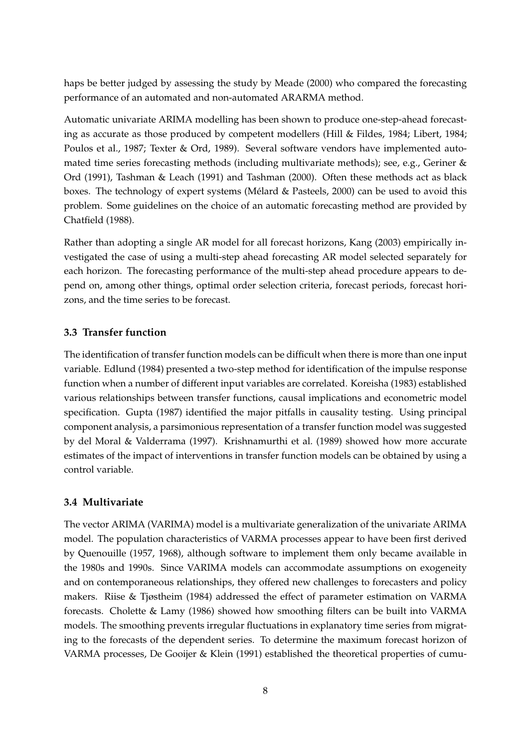haps be better judged by assessing the study by Meade (2000) who compared the forecasting performance of an automated and non-automated ARARMA method.

Automatic univariate ARIMA modelling has been shown to produce one-step-ahead forecasting as accurate as those produced by competent modellers (Hill & Fildes, 1984; Libert, 1984; Poulos et al., 1987; Texter & Ord, 1989). Several software vendors have implemented automated time series forecasting methods (including multivariate methods); see, e.g., Geriner & Ord (1991), Tashman & Leach (1991) and Tashman (2000). Often these methods act as black boxes. The technology of expert systems (Mélard & Pasteels, 2000) can be used to avoid this problem. Some guidelines on the choice of an automatic forecasting method are provided by Chatfield (1988).

Rather than adopting a single AR model for all forecast horizons, Kang (2003) empirically investigated the case of using a multi-step ahead forecasting AR model selected separately for each horizon. The forecasting performance of the multi-step ahead procedure appears to depend on, among other things, optimal order selection criteria, forecast periods, forecast horizons, and the time series to be forecast.

### **3.3 Transfer function**

The identification of transfer function models can be difficult when there is more than one input variable. Edlund (1984) presented a two-step method for identification of the impulse response function when a number of different input variables are correlated. Koreisha (1983) established various relationships between transfer functions, causal implications and econometric model specification. Gupta (1987) identified the major pitfalls in causality testing. Using principal component analysis, a parsimonious representation of a transfer function model was suggested by del Moral & Valderrama (1997). Krishnamurthi et al. (1989) showed how more accurate estimates of the impact of interventions in transfer function models can be obtained by using a control variable.

### **3.4 Multivariate**

The vector ARIMA (VARIMA) model is a multivariate generalization of the univariate ARIMA model. The population characteristics of VARMA processes appear to have been first derived by Quenouille (1957, 1968), although software to implement them only became available in the 1980s and 1990s. Since VARIMA models can accommodate assumptions on exogeneity and on contemporaneous relationships, they offered new challenges to forecasters and policy makers. Riise & Tjøstheim (1984) addressed the effect of parameter estimation on VARMA forecasts. Cholette & Lamy (1986) showed how smoothing filters can be built into VARMA models. The smoothing prevents irregular fluctuations in explanatory time series from migrating to the forecasts of the dependent series. To determine the maximum forecast horizon of VARMA processes, De Gooijer & Klein (1991) established the theoretical properties of cumu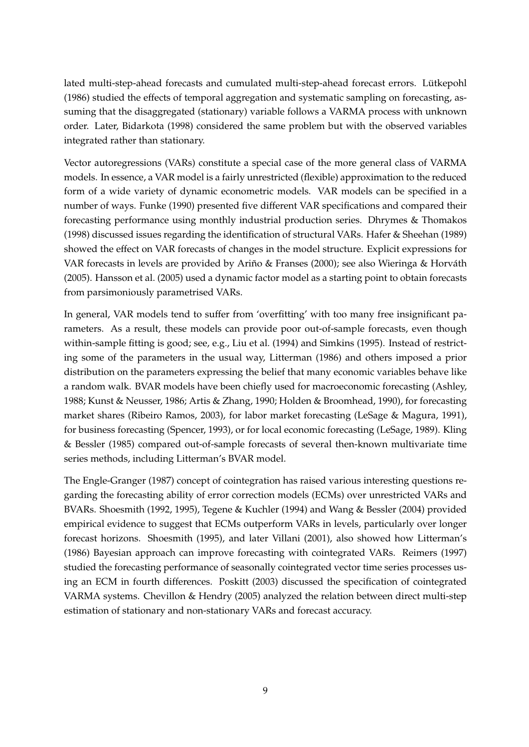lated multi-step-ahead forecasts and cumulated multi-step-ahead forecast errors. Lütkepohl (1986) studied the effects of temporal aggregation and systematic sampling on forecasting, assuming that the disaggregated (stationary) variable follows a VARMA process with unknown order. Later, Bidarkota (1998) considered the same problem but with the observed variables integrated rather than stationary.

Vector autoregressions (VARs) constitute a special case of the more general class of VARMA models. In essence, a VAR model is a fairly unrestricted (flexible) approximation to the reduced form of a wide variety of dynamic econometric models. VAR models can be specified in a number of ways. Funke (1990) presented five different VAR specifications and compared their forecasting performance using monthly industrial production series. Dhrymes & Thomakos (1998) discussed issues regarding the identification of structural VARs. Hafer & Sheehan (1989) showed the effect on VAR forecasts of changes in the model structure. Explicit expressions for VAR forecasts in levels are provided by Ariño & Franses (2000); see also Wieringa & Horváth (2005). Hansson et al. (2005) used a dynamic factor model as a starting point to obtain forecasts from parsimoniously parametrised VARs.

In general, VAR models tend to suffer from 'overfitting' with too many free insignificant parameters. As a result, these models can provide poor out-of-sample forecasts, even though within-sample fitting is good; see, e.g., Liu et al. (1994) and Simkins (1995). Instead of restricting some of the parameters in the usual way, Litterman (1986) and others imposed a prior distribution on the parameters expressing the belief that many economic variables behave like a random walk. BVAR models have been chiefly used for macroeconomic forecasting (Ashley, 1988; Kunst & Neusser, 1986; Artis & Zhang, 1990; Holden & Broomhead, 1990), for forecasting market shares (Ribeiro Ramos, 2003), for labor market forecasting (LeSage & Magura, 1991), for business forecasting (Spencer, 1993), or for local economic forecasting (LeSage, 1989). Kling & Bessler (1985) compared out-of-sample forecasts of several then-known multivariate time series methods, including Litterman's BVAR model.

The Engle-Granger (1987) concept of cointegration has raised various interesting questions regarding the forecasting ability of error correction models (ECMs) over unrestricted VARs and BVARs. Shoesmith (1992, 1995), Tegene & Kuchler (1994) and Wang & Bessler (2004) provided empirical evidence to suggest that ECMs outperform VARs in levels, particularly over longer forecast horizons. Shoesmith (1995), and later Villani (2001), also showed how Litterman's (1986) Bayesian approach can improve forecasting with cointegrated VARs. Reimers (1997) studied the forecasting performance of seasonally cointegrated vector time series processes using an ECM in fourth differences. Poskitt (2003) discussed the specification of cointegrated VARMA systems. Chevillon & Hendry (2005) analyzed the relation between direct multi-step estimation of stationary and non-stationary VARs and forecast accuracy.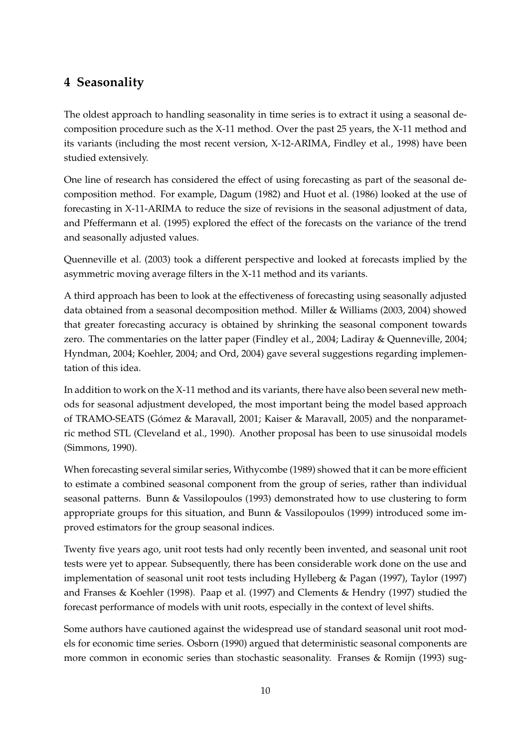## <span id="page-11-0"></span>**4 Seasonality**

The oldest approach to handling seasonality in time series is to extract it using a seasonal decomposition procedure such as the X-11 method. Over the past 25 years, the X-11 method and its variants (including the most recent version, X-12-ARIMA, Findley et al., 1998) have been studied extensively.

One line of research has considered the effect of using forecasting as part of the seasonal decomposition method. For example, Dagum (1982) and Huot et al. (1986) looked at the use of forecasting in X-11-ARIMA to reduce the size of revisions in the seasonal adjustment of data, and Pfeffermann et al. (1995) explored the effect of the forecasts on the variance of the trend and seasonally adjusted values.

Quenneville et al. (2003) took a different perspective and looked at forecasts implied by the asymmetric moving average filters in the X-11 method and its variants.

A third approach has been to look at the effectiveness of forecasting using seasonally adjusted data obtained from a seasonal decomposition method. Miller & Williams (2003, 2004) showed that greater forecasting accuracy is obtained by shrinking the seasonal component towards zero. The commentaries on the latter paper (Findley et al., 2004; Ladiray & Quenneville, 2004; Hyndman, 2004; Koehler, 2004; and Ord, 2004) gave several suggestions regarding implementation of this idea.

In addition to work on the X-11 method and its variants, there have also been several new methods for seasonal adjustment developed, the most important being the model based approach of TRAMO-SEATS (Gómez & Maravall, 2001; Kaiser & Maravall, 2005) and the nonparametric method STL (Cleveland et al., 1990). Another proposal has been to use sinusoidal models (Simmons, 1990).

When forecasting several similar series, Withycombe (1989) showed that it can be more efficient to estimate a combined seasonal component from the group of series, rather than individual seasonal patterns. Bunn & Vassilopoulos (1993) demonstrated how to use clustering to form appropriate groups for this situation, and Bunn & Vassilopoulos (1999) introduced some improved estimators for the group seasonal indices.

Twenty five years ago, unit root tests had only recently been invented, and seasonal unit root tests were yet to appear. Subsequently, there has been considerable work done on the use and implementation of seasonal unit root tests including Hylleberg & Pagan (1997), Taylor (1997) and Franses & Koehler (1998). Paap et al. (1997) and Clements & Hendry (1997) studied the forecast performance of models with unit roots, especially in the context of level shifts.

Some authors have cautioned against the widespread use of standard seasonal unit root models for economic time series. Osborn (1990) argued that deterministic seasonal components are more common in economic series than stochastic seasonality. Franses & Romijn (1993) sug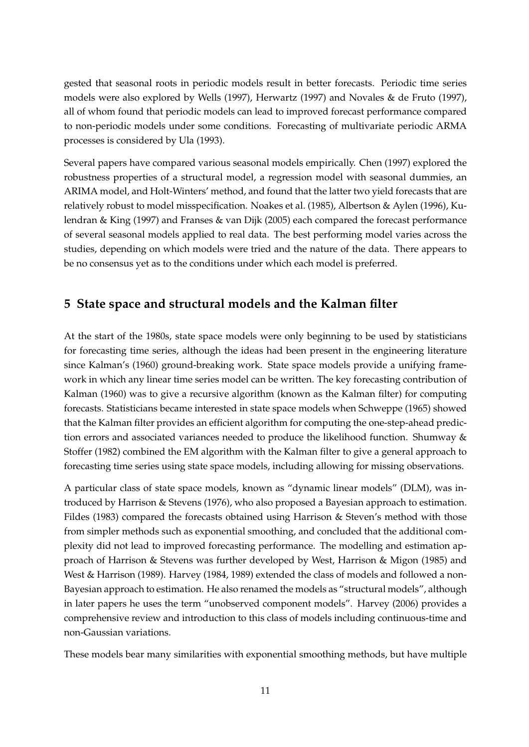gested that seasonal roots in periodic models result in better forecasts. Periodic time series models were also explored by Wells (1997), Herwartz (1997) and Novales & de Fruto (1997), all of whom found that periodic models can lead to improved forecast performance compared to non-periodic models under some conditions. Forecasting of multivariate periodic ARMA processes is considered by Ula (1993).

Several papers have compared various seasonal models empirically. Chen (1997) explored the robustness properties of a structural model, a regression model with seasonal dummies, an ARIMA model, and Holt-Winters' method, and found that the latter two yield forecasts that are relatively robust to model misspecification. Noakes et al. (1985), Albertson & Aylen (1996), Kulendran & King (1997) and Franses & van Dijk (2005) each compared the forecast performance of several seasonal models applied to real data. The best performing model varies across the studies, depending on which models were tried and the nature of the data. There appears to be no consensus yet as to the conditions under which each model is preferred.

## <span id="page-12-0"></span>**5 State space and structural models and the Kalman filter**

At the start of the 1980s, state space models were only beginning to be used by statisticians for forecasting time series, although the ideas had been present in the engineering literature since Kalman's (1960) ground-breaking work. State space models provide a unifying framework in which any linear time series model can be written. The key forecasting contribution of Kalman (1960) was to give a recursive algorithm (known as the Kalman filter) for computing forecasts. Statisticians became interested in state space models when Schweppe (1965) showed that the Kalman filter provides an efficient algorithm for computing the one-step-ahead prediction errors and associated variances needed to produce the likelihood function. Shumway & Stoffer (1982) combined the EM algorithm with the Kalman filter to give a general approach to forecasting time series using state space models, including allowing for missing observations.

A particular class of state space models, known as "dynamic linear models" (DLM), was introduced by Harrison & Stevens (1976), who also proposed a Bayesian approach to estimation. Fildes (1983) compared the forecasts obtained using Harrison & Steven's method with those from simpler methods such as exponential smoothing, and concluded that the additional complexity did not lead to improved forecasting performance. The modelling and estimation approach of Harrison & Stevens was further developed by West, Harrison & Migon (1985) and West & Harrison (1989). Harvey (1984, 1989) extended the class of models and followed a non-Bayesian approach to estimation. He also renamed the models as "structural models", although in later papers he uses the term "unobserved component models". Harvey (2006) provides a comprehensive review and introduction to this class of models including continuous-time and non-Gaussian variations.

These models bear many similarities with exponential smoothing methods, but have multiple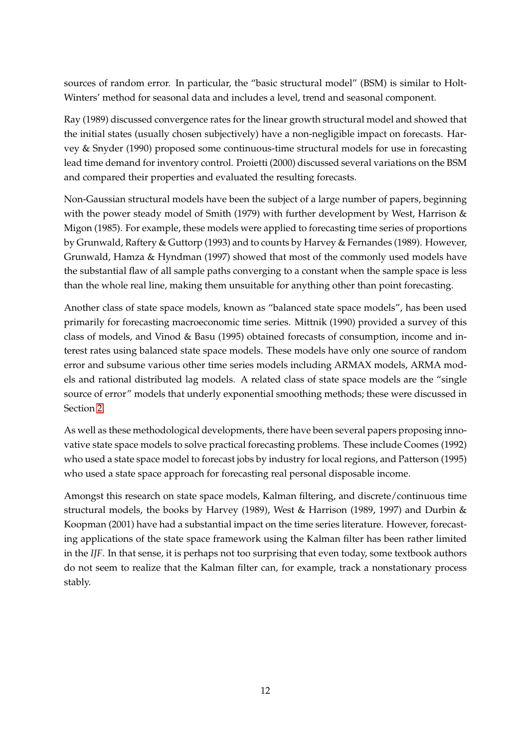sources of random error. In particular, the "basic structural model" (BSM) is similar to Holt-Winters' method for seasonal data and includes a level, trend and seasonal component.

Ray (1989) discussed convergence rates for the linear growth structural model and showed that the initial states (usually chosen subjectively) have a non-negligible impact on forecasts. Harvey & Snyder (1990) proposed some continuous-time structural models for use in forecasting lead time demand for inventory control. Proietti (2000) discussed several variations on the BSM and compared their properties and evaluated the resulting forecasts.

Non-Gaussian structural models have been the subject of a large number of papers, beginning with the power steady model of Smith (1979) with further development by West, Harrison & Migon (1985). For example, these models were applied to forecasting time series of proportions by Grunwald, Raftery & Guttorp (1993) and to counts by Harvey & Fernandes (1989). However, Grunwald, Hamza & Hyndman (1997) showed that most of the commonly used models have the substantial flaw of all sample paths converging to a constant when the sample space is less than the whole real line, making them unsuitable for anything other than point forecasting.

Another class of state space models, known as "balanced state space models", has been used primarily for forecasting macroeconomic time series. Mittnik (1990) provided a survey of this class of models, and Vinod & Basu (1995) obtained forecasts of consumption, income and interest rates using balanced state space models. These models have only one source of random error and subsume various other time series models including ARMAX models, ARMA models and rational distributed lag models. A related class of state space models are the "single source of error" models that underly exponential smoothing methods; these were discussed in Section [2.](#page-3-0)

As well as these methodological developments, there have been several papers proposing innovative state space models to solve practical forecasting problems. These include Coomes (1992) who used a state space model to forecast jobs by industry for local regions, and Patterson (1995) who used a state space approach for forecasting real personal disposable income.

Amongst this research on state space models, Kalman filtering, and discrete/continuous time structural models, the books by Harvey (1989), West & Harrison (1989, 1997) and Durbin & Koopman (2001) have had a substantial impact on the time series literature. However, forecasting applications of the state space framework using the Kalman filter has been rather limited in the *IJF*. In that sense, it is perhaps not too surprising that even today, some textbook authors do not seem to realize that the Kalman filter can, for example, track a nonstationary process stably.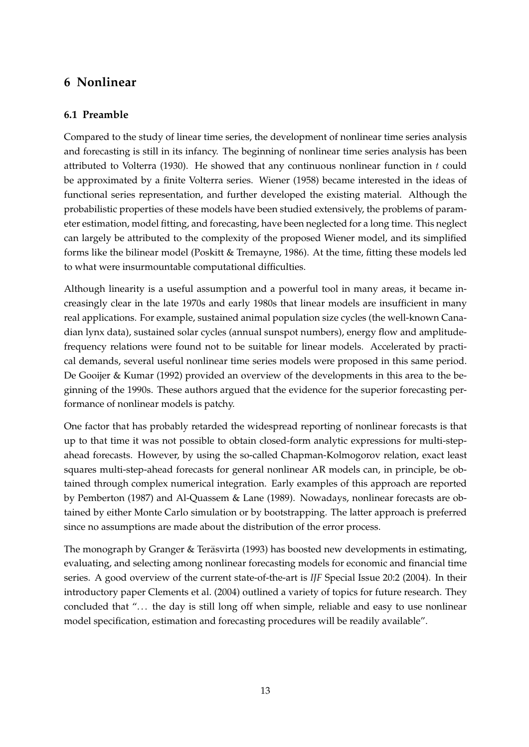## <span id="page-14-0"></span>**6 Nonlinear**

### **6.1 Preamble**

Compared to the study of linear time series, the development of nonlinear time series analysis and forecasting is still in its infancy. The beginning of nonlinear time series analysis has been attributed to Volterra (1930). He showed that any continuous nonlinear function in  $t$  could be approximated by a finite Volterra series. Wiener (1958) became interested in the ideas of functional series representation, and further developed the existing material. Although the probabilistic properties of these models have been studied extensively, the problems of parameter estimation, model fitting, and forecasting, have been neglected for a long time. This neglect can largely be attributed to the complexity of the proposed Wiener model, and its simplified forms like the bilinear model (Poskitt & Tremayne, 1986). At the time, fitting these models led to what were insurmountable computational difficulties.

Although linearity is a useful assumption and a powerful tool in many areas, it became increasingly clear in the late 1970s and early 1980s that linear models are insufficient in many real applications. For example, sustained animal population size cycles (the well-known Canadian lynx data), sustained solar cycles (annual sunspot numbers), energy flow and amplitudefrequency relations were found not to be suitable for linear models. Accelerated by practical demands, several useful nonlinear time series models were proposed in this same period. De Gooijer & Kumar (1992) provided an overview of the developments in this area to the beginning of the 1990s. These authors argued that the evidence for the superior forecasting performance of nonlinear models is patchy.

One factor that has probably retarded the widespread reporting of nonlinear forecasts is that up to that time it was not possible to obtain closed-form analytic expressions for multi-stepahead forecasts. However, by using the so-called Chapman-Kolmogorov relation, exact least squares multi-step-ahead forecasts for general nonlinear AR models can, in principle, be obtained through complex numerical integration. Early examples of this approach are reported by Pemberton (1987) and Al-Quassem & Lane (1989). Nowadays, nonlinear forecasts are obtained by either Monte Carlo simulation or by bootstrapping. The latter approach is preferred since no assumptions are made about the distribution of the error process.

The monograph by Granger & Teräsvirta (1993) has boosted new developments in estimating, evaluating, and selecting among nonlinear forecasting models for economic and financial time series. A good overview of the current state-of-the-art is *IJF* Special Issue 20:2 (2004). In their introductory paper Clements et al. (2004) outlined a variety of topics for future research. They concluded that ". . . the day is still long off when simple, reliable and easy to use nonlinear model specification, estimation and forecasting procedures will be readily available".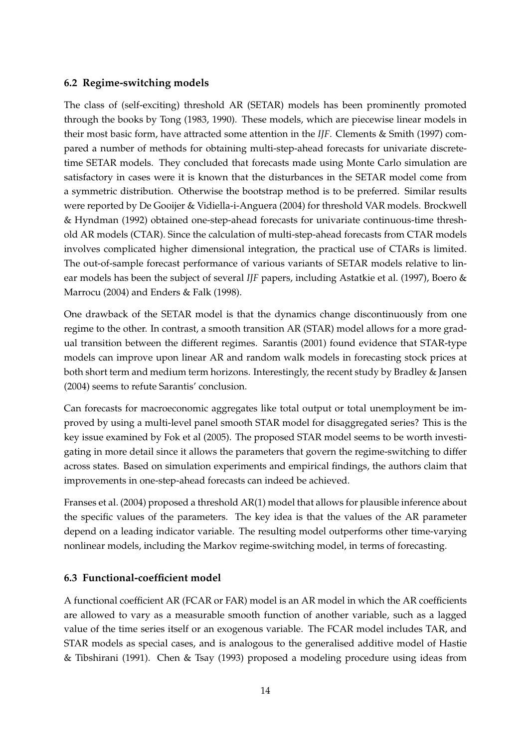#### **6.2 Regime-switching models**

The class of (self-exciting) threshold AR (SETAR) models has been prominently promoted through the books by Tong (1983, 1990). These models, which are piecewise linear models in their most basic form, have attracted some attention in the *IJF*. Clements & Smith (1997) compared a number of methods for obtaining multi-step-ahead forecasts for univariate discretetime SETAR models. They concluded that forecasts made using Monte Carlo simulation are satisfactory in cases were it is known that the disturbances in the SETAR model come from a symmetric distribution. Otherwise the bootstrap method is to be preferred. Similar results were reported by De Gooijer & Vidiella-i-Anguera (2004) for threshold VAR models. Brockwell & Hyndman (1992) obtained one-step-ahead forecasts for univariate continuous-time threshold AR models (CTAR). Since the calculation of multi-step-ahead forecasts from CTAR models involves complicated higher dimensional integration, the practical use of CTARs is limited. The out-of-sample forecast performance of various variants of SETAR models relative to linear models has been the subject of several *IJF* papers, including Astatkie et al. (1997), Boero & Marrocu (2004) and Enders & Falk (1998).

One drawback of the SETAR model is that the dynamics change discontinuously from one regime to the other. In contrast, a smooth transition AR (STAR) model allows for a more gradual transition between the different regimes. Sarantis (2001) found evidence that STAR-type models can improve upon linear AR and random walk models in forecasting stock prices at both short term and medium term horizons. Interestingly, the recent study by Bradley & Jansen (2004) seems to refute Sarantis' conclusion.

Can forecasts for macroeconomic aggregates like total output or total unemployment be improved by using a multi-level panel smooth STAR model for disaggregated series? This is the key issue examined by Fok et al (2005). The proposed STAR model seems to be worth investigating in more detail since it allows the parameters that govern the regime-switching to differ across states. Based on simulation experiments and empirical findings, the authors claim that improvements in one-step-ahead forecasts can indeed be achieved.

Franses et al. (2004) proposed a threshold AR(1) model that allows for plausible inference about the specific values of the parameters. The key idea is that the values of the AR parameter depend on a leading indicator variable. The resulting model outperforms other time-varying nonlinear models, including the Markov regime-switching model, in terms of forecasting.

#### **6.3 Functional-coefficient model**

A functional coefficient AR (FCAR or FAR) model is an AR model in which the AR coefficients are allowed to vary as a measurable smooth function of another variable, such as a lagged value of the time series itself or an exogenous variable. The FCAR model includes TAR, and STAR models as special cases, and is analogous to the generalised additive model of Hastie & Tibshirani (1991). Chen & Tsay (1993) proposed a modeling procedure using ideas from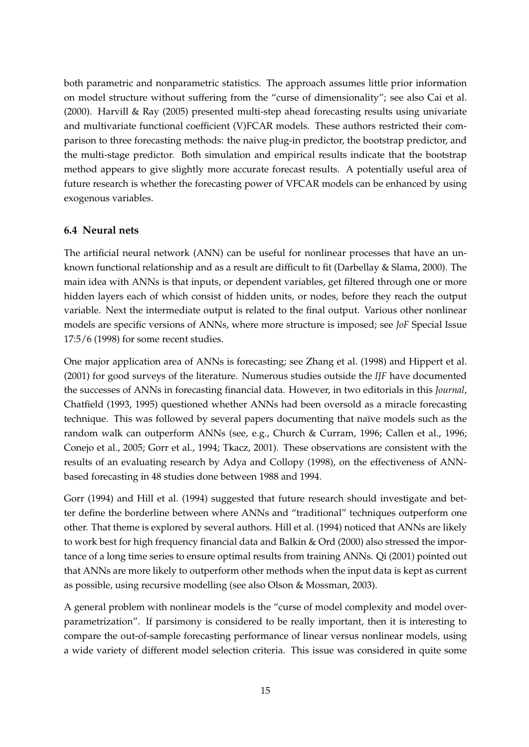both parametric and nonparametric statistics. The approach assumes little prior information on model structure without suffering from the "curse of dimensionality"; see also Cai et al. (2000). Harvill & Ray (2005) presented multi-step ahead forecasting results using univariate and multivariate functional coefficient (V)FCAR models. These authors restricted their comparison to three forecasting methods: the naive plug-in predictor, the bootstrap predictor, and the multi-stage predictor. Both simulation and empirical results indicate that the bootstrap method appears to give slightly more accurate forecast results. A potentially useful area of future research is whether the forecasting power of VFCAR models can be enhanced by using exogenous variables.

#### **6.4 Neural nets**

The artificial neural network (ANN) can be useful for nonlinear processes that have an unknown functional relationship and as a result are difficult to fit (Darbellay & Slama, 2000). The main idea with ANNs is that inputs, or dependent variables, get filtered through one or more hidden layers each of which consist of hidden units, or nodes, before they reach the output variable. Next the intermediate output is related to the final output. Various other nonlinear models are specific versions of ANNs, where more structure is imposed; see *JoF* Special Issue 17:5/6 (1998) for some recent studies.

One major application area of ANNs is forecasting; see Zhang et al. (1998) and Hippert et al. (2001) for good surveys of the literature. Numerous studies outside the *IJF* have documented the successes of ANNs in forecasting financial data. However, in two editorials in this *Journal*, Chatfield (1993, 1995) questioned whether ANNs had been oversold as a miracle forecasting technique. This was followed by several papers documenting that naïve models such as the random walk can outperform ANNs (see, e.g., Church & Curram, 1996; Callen et al., 1996; Conejo et al., 2005; Gorr et al., 1994; Tkacz, 2001). These observations are consistent with the results of an evaluating research by Adya and Collopy (1998), on the effectiveness of ANNbased forecasting in 48 studies done between 1988 and 1994.

Gorr (1994) and Hill et al. (1994) suggested that future research should investigate and better define the borderline between where ANNs and "traditional" techniques outperform one other. That theme is explored by several authors. Hill et al. (1994) noticed that ANNs are likely to work best for high frequency financial data and Balkin & Ord (2000) also stressed the importance of a long time series to ensure optimal results from training ANNs. Qi (2001) pointed out that ANNs are more likely to outperform other methods when the input data is kept as current as possible, using recursive modelling (see also Olson & Mossman, 2003).

A general problem with nonlinear models is the "curse of model complexity and model overparametrization". If parsimony is considered to be really important, then it is interesting to compare the out-of-sample forecasting performance of linear versus nonlinear models, using a wide variety of different model selection criteria. This issue was considered in quite some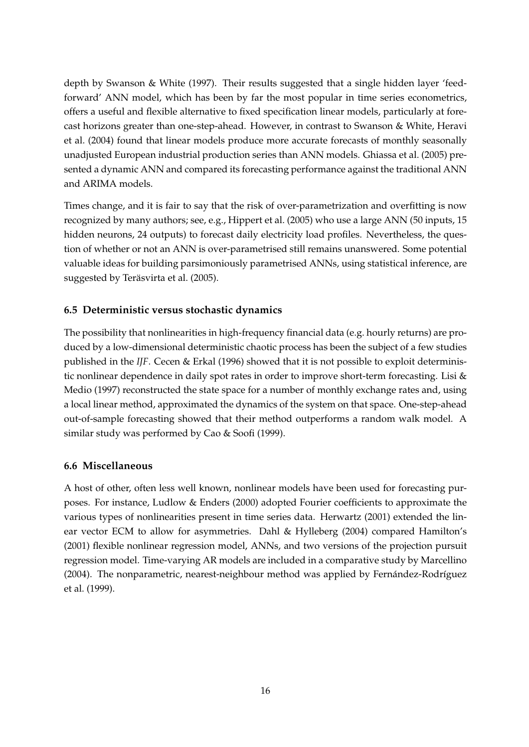depth by Swanson & White (1997). Their results suggested that a single hidden layer 'feedforward' ANN model, which has been by far the most popular in time series econometrics, offers a useful and flexible alternative to fixed specification linear models, particularly at forecast horizons greater than one-step-ahead. However, in contrast to Swanson & White, Heravi et al. (2004) found that linear models produce more accurate forecasts of monthly seasonally unadjusted European industrial production series than ANN models. Ghiassa et al. (2005) presented a dynamic ANN and compared its forecasting performance against the traditional ANN and ARIMA models.

Times change, and it is fair to say that the risk of over-parametrization and overfitting is now recognized by many authors; see, e.g., Hippert et al. (2005) who use a large ANN (50 inputs, 15 hidden neurons, 24 outputs) to forecast daily electricity load profiles. Nevertheless, the question of whether or not an ANN is over-parametrised still remains unanswered. Some potential valuable ideas for building parsimoniously parametrised ANNs, using statistical inference, are suggested by Teräsvirta et al. (2005).

### **6.5 Deterministic versus stochastic dynamics**

The possibility that nonlinearities in high-frequency financial data (e.g. hourly returns) are produced by a low-dimensional deterministic chaotic process has been the subject of a few studies published in the *IJF*. Cecen & Erkal (1996) showed that it is not possible to exploit deterministic nonlinear dependence in daily spot rates in order to improve short-term forecasting. Lisi & Medio (1997) reconstructed the state space for a number of monthly exchange rates and, using a local linear method, approximated the dynamics of the system on that space. One-step-ahead out-of-sample forecasting showed that their method outperforms a random walk model. A similar study was performed by Cao & Soofi (1999).

### **6.6 Miscellaneous**

A host of other, often less well known, nonlinear models have been used for forecasting purposes. For instance, Ludlow & Enders (2000) adopted Fourier coefficients to approximate the various types of nonlinearities present in time series data. Herwartz (2001) extended the linear vector ECM to allow for asymmetries. Dahl & Hylleberg (2004) compared Hamilton's (2001) flexible nonlinear regression model, ANNs, and two versions of the projection pursuit regression model. Time-varying AR models are included in a comparative study by Marcellino (2004). The nonparametric, nearest-neighbour method was applied by Fernández-Rodríguez et al. (1999).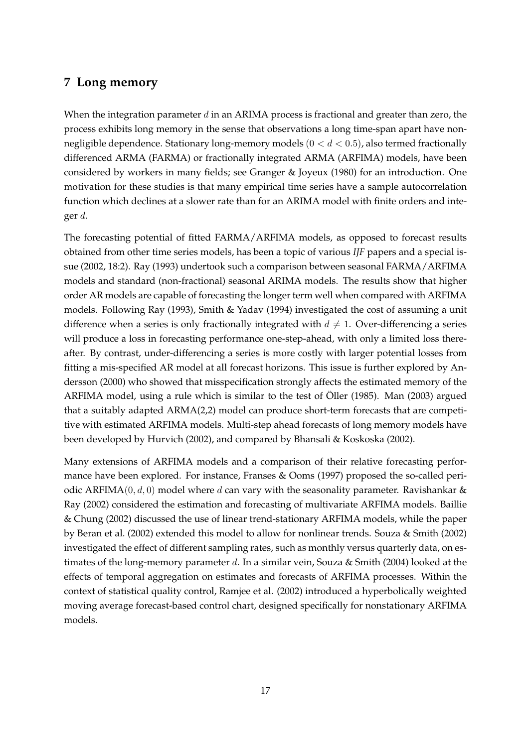## <span id="page-18-0"></span>**7 Long memory**

When the integration parameter  $d$  in an ARIMA process is fractional and greater than zero, the process exhibits long memory in the sense that observations a long time-span apart have nonnegligible dependence. Stationary long-memory models ( $0 < d < 0.5$ ), also termed fractionally differenced ARMA (FARMA) or fractionally integrated ARMA (ARFIMA) models, have been considered by workers in many fields; see Granger & Joyeux (1980) for an introduction. One motivation for these studies is that many empirical time series have a sample autocorrelation function which declines at a slower rate than for an ARIMA model with finite orders and integer d.

The forecasting potential of fitted FARMA/ARFIMA models, as opposed to forecast results obtained from other time series models, has been a topic of various *IJF* papers and a special issue (2002, 18:2). Ray (1993) undertook such a comparison between seasonal FARMA/ARFIMA models and standard (non-fractional) seasonal ARIMA models. The results show that higher order AR models are capable of forecasting the longer term well when compared with ARFIMA models. Following Ray (1993), Smith & Yadav (1994) investigated the cost of assuming a unit difference when a series is only fractionally integrated with  $d \neq 1$ . Over-differencing a series will produce a loss in forecasting performance one-step-ahead, with only a limited loss thereafter. By contrast, under-differencing a series is more costly with larger potential losses from fitting a mis-specified AR model at all forecast horizons. This issue is further explored by Andersson (2000) who showed that misspecification strongly affects the estimated memory of the ARFIMA model, using a rule which is similar to the test of Öller (1985). Man (2003) argued that a suitably adapted ARMA(2,2) model can produce short-term forecasts that are competitive with estimated ARFIMA models. Multi-step ahead forecasts of long memory models have been developed by Hurvich (2002), and compared by Bhansali & Koskoska (2002).

Many extensions of ARFIMA models and a comparison of their relative forecasting performance have been explored. For instance, Franses & Ooms (1997) proposed the so-called periodic ARFIMA(0, d, 0) model where d can vary with the seasonality parameter. Ravishankar & Ray (2002) considered the estimation and forecasting of multivariate ARFIMA models. Baillie & Chung (2002) discussed the use of linear trend-stationary ARFIMA models, while the paper by Beran et al. (2002) extended this model to allow for nonlinear trends. Souza & Smith (2002) investigated the effect of different sampling rates, such as monthly versus quarterly data, on estimates of the long-memory parameter d. In a similar vein, Souza & Smith (2004) looked at the effects of temporal aggregation on estimates and forecasts of ARFIMA processes. Within the context of statistical quality control, Ramjee et al. (2002) introduced a hyperbolically weighted moving average forecast-based control chart, designed specifically for nonstationary ARFIMA models.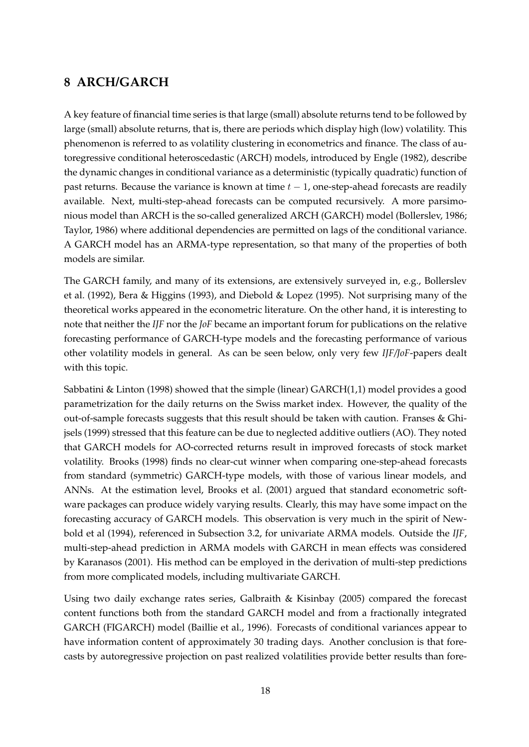## <span id="page-19-0"></span>**8 ARCH/GARCH**

A key feature of financial time series is that large (small) absolute returns tend to be followed by large (small) absolute returns, that is, there are periods which display high (low) volatility. This phenomenon is referred to as volatility clustering in econometrics and finance. The class of autoregressive conditional heteroscedastic (ARCH) models, introduced by Engle (1982), describe the dynamic changes in conditional variance as a deterministic (typically quadratic) function of past returns. Because the variance is known at time  $t - 1$ , one-step-ahead forecasts are readily available. Next, multi-step-ahead forecasts can be computed recursively. A more parsimonious model than ARCH is the so-called generalized ARCH (GARCH) model (Bollerslev, 1986; Taylor, 1986) where additional dependencies are permitted on lags of the conditional variance. A GARCH model has an ARMA-type representation, so that many of the properties of both models are similar.

The GARCH family, and many of its extensions, are extensively surveyed in, e.g., Bollerslev et al. (1992), Bera & Higgins (1993), and Diebold & Lopez (1995). Not surprising many of the theoretical works appeared in the econometric literature. On the other hand, it is interesting to note that neither the *IJF* nor the *JoF* became an important forum for publications on the relative forecasting performance of GARCH-type models and the forecasting performance of various other volatility models in general. As can be seen below, only very few *IJF/JoF*-papers dealt with this topic.

Sabbatini & Linton (1998) showed that the simple (linear) GARCH(1,1) model provides a good parametrization for the daily returns on the Swiss market index. However, the quality of the out-of-sample forecasts suggests that this result should be taken with caution. Franses & Ghijsels (1999) stressed that this feature can be due to neglected additive outliers (AO). They noted that GARCH models for AO-corrected returns result in improved forecasts of stock market volatility. Brooks (1998) finds no clear-cut winner when comparing one-step-ahead forecasts from standard (symmetric) GARCH-type models, with those of various linear models, and ANNs. At the estimation level, Brooks et al. (2001) argued that standard econometric software packages can produce widely varying results. Clearly, this may have some impact on the forecasting accuracy of GARCH models. This observation is very much in the spirit of Newbold et al (1994), referenced in Subsection 3.2, for univariate ARMA models. Outside the *IJF*, multi-step-ahead prediction in ARMA models with GARCH in mean effects was considered by Karanasos (2001). His method can be employed in the derivation of multi-step predictions from more complicated models, including multivariate GARCH.

Using two daily exchange rates series, Galbraith & Kisinbay (2005) compared the forecast content functions both from the standard GARCH model and from a fractionally integrated GARCH (FIGARCH) model (Baillie et al., 1996). Forecasts of conditional variances appear to have information content of approximately 30 trading days. Another conclusion is that forecasts by autoregressive projection on past realized volatilities provide better results than fore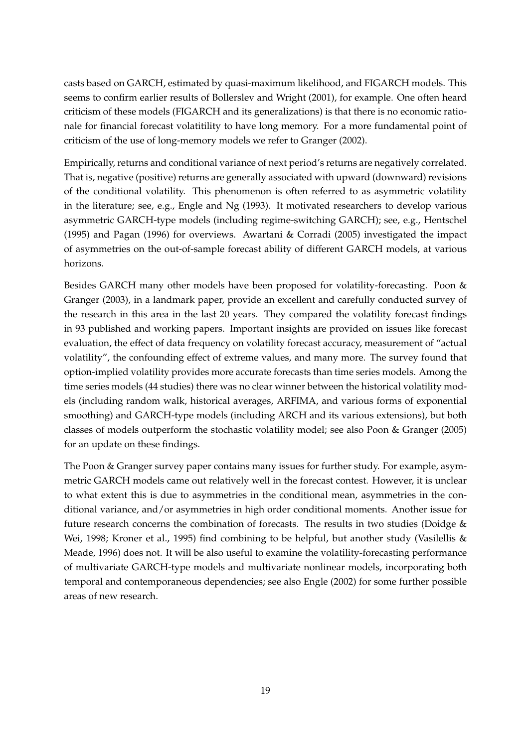casts based on GARCH, estimated by quasi-maximum likelihood, and FIGARCH models. This seems to confirm earlier results of Bollerslev and Wright (2001), for example. One often heard criticism of these models (FIGARCH and its generalizations) is that there is no economic rationale for financial forecast volatitility to have long memory. For a more fundamental point of criticism of the use of long-memory models we refer to Granger (2002).

Empirically, returns and conditional variance of next period's returns are negatively correlated. That is, negative (positive) returns are generally associated with upward (downward) revisions of the conditional volatility. This phenomenon is often referred to as asymmetric volatility in the literature; see, e.g., Engle and Ng (1993). It motivated researchers to develop various asymmetric GARCH-type models (including regime-switching GARCH); see, e.g., Hentschel (1995) and Pagan (1996) for overviews. Awartani & Corradi (2005) investigated the impact of asymmetries on the out-of-sample forecast ability of different GARCH models, at various horizons.

Besides GARCH many other models have been proposed for volatility-forecasting. Poon & Granger (2003), in a landmark paper, provide an excellent and carefully conducted survey of the research in this area in the last 20 years. They compared the volatility forecast findings in 93 published and working papers. Important insights are provided on issues like forecast evaluation, the effect of data frequency on volatility forecast accuracy, measurement of "actual volatility", the confounding effect of extreme values, and many more. The survey found that option-implied volatility provides more accurate forecasts than time series models. Among the time series models (44 studies) there was no clear winner between the historical volatility models (including random walk, historical averages, ARFIMA, and various forms of exponential smoothing) and GARCH-type models (including ARCH and its various extensions), but both classes of models outperform the stochastic volatility model; see also Poon & Granger (2005) for an update on these findings.

The Poon & Granger survey paper contains many issues for further study. For example, asymmetric GARCH models came out relatively well in the forecast contest. However, it is unclear to what extent this is due to asymmetries in the conditional mean, asymmetries in the conditional variance, and/or asymmetries in high order conditional moments. Another issue for future research concerns the combination of forecasts. The results in two studies (Doidge & Wei, 1998; Kroner et al., 1995) find combining to be helpful, but another study (Vasilellis & Meade, 1996) does not. It will be also useful to examine the volatility-forecasting performance of multivariate GARCH-type models and multivariate nonlinear models, incorporating both temporal and contemporaneous dependencies; see also Engle (2002) for some further possible areas of new research.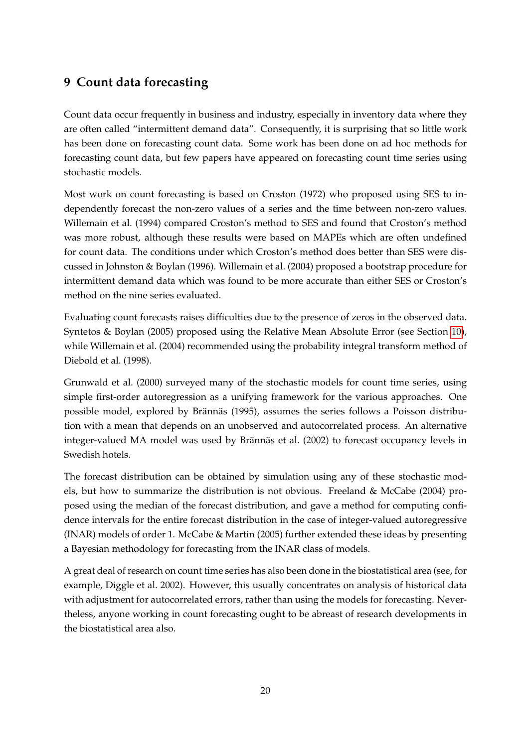## <span id="page-21-0"></span>**9 Count data forecasting**

Count data occur frequently in business and industry, especially in inventory data where they are often called "intermittent demand data". Consequently, it is surprising that so little work has been done on forecasting count data. Some work has been done on ad hoc methods for forecasting count data, but few papers have appeared on forecasting count time series using stochastic models.

Most work on count forecasting is based on Croston (1972) who proposed using SES to independently forecast the non-zero values of a series and the time between non-zero values. Willemain et al. (1994) compared Croston's method to SES and found that Croston's method was more robust, although these results were based on MAPEs which are often undefined for count data. The conditions under which Croston's method does better than SES were discussed in Johnston & Boylan (1996). Willemain et al. (2004) proposed a bootstrap procedure for intermittent demand data which was found to be more accurate than either SES or Croston's method on the nine series evaluated.

Evaluating count forecasts raises difficulties due to the presence of zeros in the observed data. Syntetos & Boylan (2005) proposed using the Relative Mean Absolute Error (see Section [10\)](#page-22-0), while Willemain et al. (2004) recommended using the probability integral transform method of Diebold et al. (1998).

Grunwald et al. (2000) surveyed many of the stochastic models for count time series, using simple first-order autoregression as a unifying framework for the various approaches. One possible model, explored by Brännäs (1995), assumes the series follows a Poisson distribution with a mean that depends on an unobserved and autocorrelated process. An alternative integer-valued MA model was used by Brännäs et al. (2002) to forecast occupancy levels in Swedish hotels.

The forecast distribution can be obtained by simulation using any of these stochastic models, but how to summarize the distribution is not obvious. Freeland & McCabe (2004) proposed using the median of the forecast distribution, and gave a method for computing confidence intervals for the entire forecast distribution in the case of integer-valued autoregressive (INAR) models of order 1. McCabe & Martin (2005) further extended these ideas by presenting a Bayesian methodology for forecasting from the INAR class of models.

A great deal of research on count time series has also been done in the biostatistical area (see, for example, Diggle et al. 2002). However, this usually concentrates on analysis of historical data with adjustment for autocorrelated errors, rather than using the models for forecasting. Nevertheless, anyone working in count forecasting ought to be abreast of research developments in the biostatistical area also.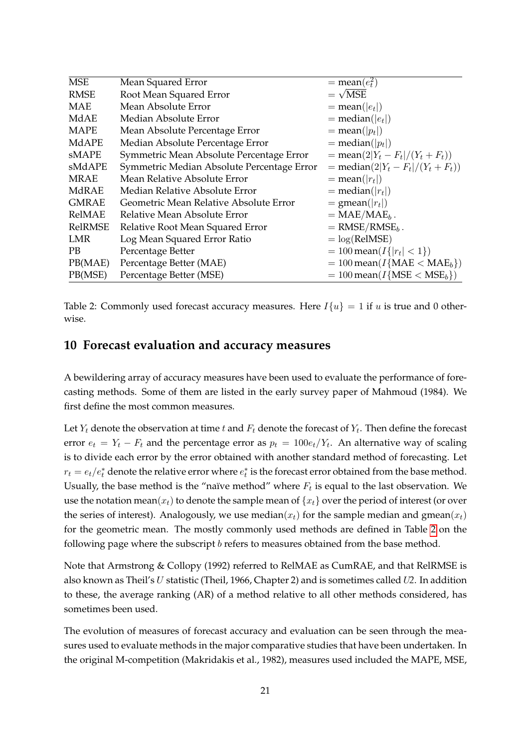| <b>MSE</b>   | Mean Squared Error                         | $=$ mean $(e_t^2)$                                                               |
|--------------|--------------------------------------------|----------------------------------------------------------------------------------|
| <b>RMSE</b>  | Root Mean Squared Error                    | $=\sqrt{MSE}$                                                                    |
| MAE          | Mean Absolute Error                        | $=$ mean(  $e_t$  )                                                              |
| MdAE         | Median Absolute Error                      | $=$ median( $ e_t $ )                                                            |
| <b>MAPE</b>  | Mean Absolute Percentage Error             | $=$ mean(  $p_t$  )                                                              |
| MdAPE        | Median Absolute Percentage Error           | $=$ median( p <sub>t</sub>  )                                                    |
| sMAPE        | Symmetric Mean Absolute Percentage Error   | $=$ mean(2 Y <sub>t</sub> – F <sub>t</sub>  /(Y <sub>t</sub> + F <sub>t</sub> )) |
| sMdAPE       | Symmetric Median Absolute Percentage Error | $=$ median(2  $Y_t - F_t$  /( $Y_t + F_t$ ))                                     |
| MRAE         | Mean Relative Absolute Error               | $=$ mean(  $r_t$  )                                                              |
| MdRAE        | Median Relative Absolute Error             | $=$ median(  $r_t$  )                                                            |
| <b>GMRAE</b> | Geometric Mean Relative Absolute Error     | $= \text{gmean}( r_t )$                                                          |
| RelMAE       | Relative Mean Absolute Error               | $= MAE/MAE_b$ .                                                                  |
| RelRMSE      | Relative Root Mean Squared Error           | $=$ RMSE/RMSE <sub>b</sub> .                                                     |
| LMR          | Log Mean Squared Error Ratio               | $=$ $log(RelMSE)$                                                                |
| PB.          | Percentage Better                          | $= 100$ mean( $I\{ r_t  < 1\}$ )                                                 |
| PB(MAE)      | Percentage Better (MAE)                    | $= 100$ mean( $I$ {MAE < MAE <sub>b</sub> })                                     |
| PB(MSE)      | Percentage Better (MSE)                    | $= 100$ mean( $I$ {MSE < MSE <sub>b</sub> })                                     |

<span id="page-22-1"></span>Table 2: Commonly used forecast accuracy measures. Here  $I{u} = 1$  if u is true and 0 otherwise.

#### <span id="page-22-0"></span>**10 Forecast evaluation and accuracy measures**

A bewildering array of accuracy measures have been used to evaluate the performance of forecasting methods. Some of them are listed in the early survey paper of Mahmoud (1984). We first define the most common measures.

Let  $Y_t$  denote the observation at time  $t$  and  $F_t$  denote the forecast of  $Y_t$ . Then define the forecast error  $e_t = Y_t - F_t$  and the percentage error as  $p_t = 100e_t/Y_t$ . An alternative way of scaling is to divide each error by the error obtained with another standard method of forecasting. Let  $r_t = e_t/e_t^*$  denote the relative error where  $e_t^*$  is the forecast error obtained from the base method. Usually, the base method is the "naïve method" where  $F_t$  is equal to the last observation. We use the notation mean( $x_t$ ) to denote the sample mean of  $\{x_t\}$  over the period of interest (or over the series of interest). Analogously, we use median( $x_t$ ) for the sample median and gmean( $x_t$ ) for the geometric mean. The mostly commonly used methods are defined in Table [2](#page-22-1) on the following page where the subscript *b* refers to measures obtained from the base method.

Note that Armstrong & Collopy (1992) referred to RelMAE as CumRAE, and that RelRMSE is also known as Theil's U statistic (Theil, 1966, Chapter 2) and is sometimes called U*2*. In addition to these, the average ranking (AR) of a method relative to all other methods considered, has sometimes been used.

The evolution of measures of forecast accuracy and evaluation can be seen through the measures used to evaluate methods in the major comparative studies that have been undertaken. In the original M-competition (Makridakis et al., 1982), measures used included the MAPE, MSE,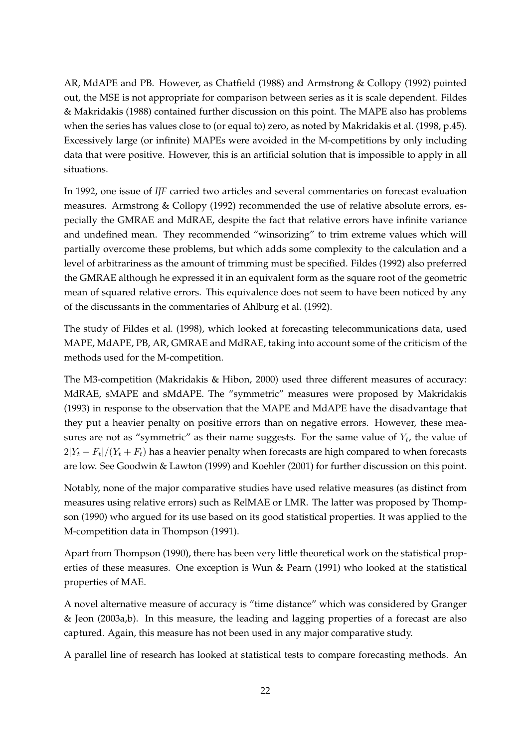AR, MdAPE and PB. However, as Chatfield (1988) and Armstrong & Collopy (1992) pointed out, the MSE is not appropriate for comparison between series as it is scale dependent. Fildes & Makridakis (1988) contained further discussion on this point. The MAPE also has problems when the series has values close to (or equal to) zero, as noted by Makridakis et al. (1998, p.45). Excessively large (or infinite) MAPEs were avoided in the M-competitions by only including data that were positive. However, this is an artificial solution that is impossible to apply in all situations.

In 1992, one issue of *IJF* carried two articles and several commentaries on forecast evaluation measures. Armstrong & Collopy (1992) recommended the use of relative absolute errors, especially the GMRAE and MdRAE, despite the fact that relative errors have infinite variance and undefined mean. They recommended "winsorizing" to trim extreme values which will partially overcome these problems, but which adds some complexity to the calculation and a level of arbitrariness as the amount of trimming must be specified. Fildes (1992) also preferred the GMRAE although he expressed it in an equivalent form as the square root of the geometric mean of squared relative errors. This equivalence does not seem to have been noticed by any of the discussants in the commentaries of Ahlburg et al. (1992).

The study of Fildes et al. (1998), which looked at forecasting telecommunications data, used MAPE, MdAPE, PB, AR, GMRAE and MdRAE, taking into account some of the criticism of the methods used for the M-competition.

The M3-competition (Makridakis & Hibon, 2000) used three different measures of accuracy: MdRAE, sMAPE and sMdAPE. The "symmetric" measures were proposed by Makridakis (1993) in response to the observation that the MAPE and MdAPE have the disadvantage that they put a heavier penalty on positive errors than on negative errors. However, these measures are not as "symmetric" as their name suggests. For the same value of  $Y_t$ , the value of  $2|Y_t-F_t|/(Y_t+F_t)$  has a heavier penalty when forecasts are high compared to when forecasts are low. See Goodwin & Lawton (1999) and Koehler (2001) for further discussion on this point.

Notably, none of the major comparative studies have used relative measures (as distinct from measures using relative errors) such as RelMAE or LMR. The latter was proposed by Thompson (1990) who argued for its use based on its good statistical properties. It was applied to the M-competition data in Thompson (1991).

Apart from Thompson (1990), there has been very little theoretical work on the statistical properties of these measures. One exception is Wun & Pearn (1991) who looked at the statistical properties of MAE.

A novel alternative measure of accuracy is "time distance" which was considered by Granger & Jeon (2003a,b). In this measure, the leading and lagging properties of a forecast are also captured. Again, this measure has not been used in any major comparative study.

A parallel line of research has looked at statistical tests to compare forecasting methods. An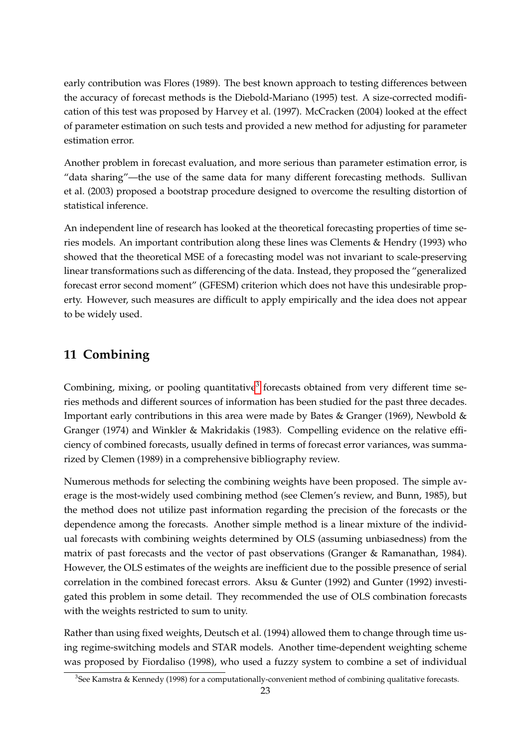early contribution was Flores (1989). The best known approach to testing differences between the accuracy of forecast methods is the Diebold-Mariano (1995) test. A size-corrected modification of this test was proposed by Harvey et al. (1997). McCracken (2004) looked at the effect of parameter estimation on such tests and provided a new method for adjusting for parameter estimation error.

Another problem in forecast evaluation, and more serious than parameter estimation error, is "data sharing"—the use of the same data for many different forecasting methods. Sullivan et al. (2003) proposed a bootstrap procedure designed to overcome the resulting distortion of statistical inference.

An independent line of research has looked at the theoretical forecasting properties of time series models. An important contribution along these lines was Clements & Hendry (1993) who showed that the theoretical MSE of a forecasting model was not invariant to scale-preserving linear transformations such as differencing of the data. Instead, they proposed the "generalized forecast error second moment" (GFESM) criterion which does not have this undesirable property. However, such measures are difficult to apply empirically and the idea does not appear to be widely used.

## <span id="page-24-0"></span>**11 Combining**

Combining, mixing, or pooling quantitative<sup>[3](#page-24-1)</sup> forecasts obtained from very different time series methods and different sources of information has been studied for the past three decades. Important early contributions in this area were made by Bates & Granger (1969), Newbold & Granger (1974) and Winkler & Makridakis (1983). Compelling evidence on the relative efficiency of combined forecasts, usually defined in terms of forecast error variances, was summarized by Clemen (1989) in a comprehensive bibliography review.

Numerous methods for selecting the combining weights have been proposed. The simple average is the most-widely used combining method (see Clemen's review, and Bunn, 1985), but the method does not utilize past information regarding the precision of the forecasts or the dependence among the forecasts. Another simple method is a linear mixture of the individual forecasts with combining weights determined by OLS (assuming unbiasedness) from the matrix of past forecasts and the vector of past observations (Granger & Ramanathan, 1984). However, the OLS estimates of the weights are inefficient due to the possible presence of serial correlation in the combined forecast errors. Aksu & Gunter (1992) and Gunter (1992) investigated this problem in some detail. They recommended the use of OLS combination forecasts with the weights restricted to sum to unity.

Rather than using fixed weights, Deutsch et al. (1994) allowed them to change through time using regime-switching models and STAR models. Another time-dependent weighting scheme was proposed by Fiordaliso (1998), who used a fuzzy system to combine a set of individual

<span id="page-24-1"></span><sup>3</sup> See Kamstra & Kennedy (1998) for a computationally-convenient method of combining qualitative forecasts.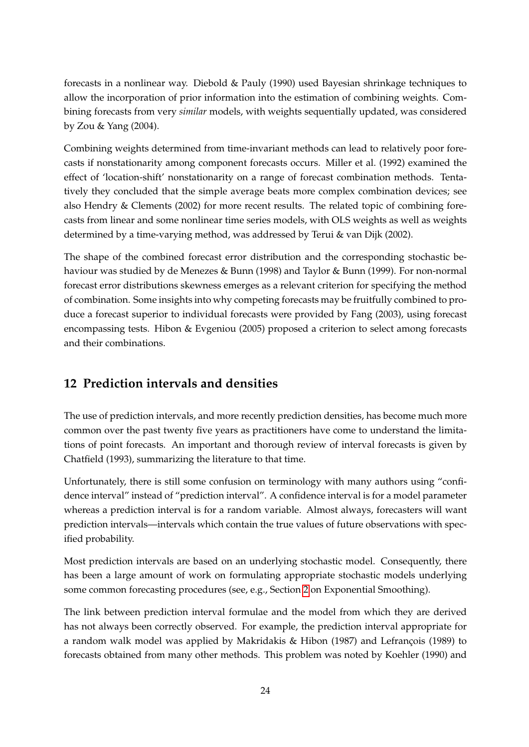forecasts in a nonlinear way. Diebold & Pauly (1990) used Bayesian shrinkage techniques to allow the incorporation of prior information into the estimation of combining weights. Combining forecasts from very *similar* models, with weights sequentially updated, was considered by Zou & Yang (2004).

Combining weights determined from time-invariant methods can lead to relatively poor forecasts if nonstationarity among component forecasts occurs. Miller et al. (1992) examined the effect of 'location-shift' nonstationarity on a range of forecast combination methods. Tentatively they concluded that the simple average beats more complex combination devices; see also Hendry & Clements (2002) for more recent results. The related topic of combining forecasts from linear and some nonlinear time series models, with OLS weights as well as weights determined by a time-varying method, was addressed by Terui & van Dijk (2002).

The shape of the combined forecast error distribution and the corresponding stochastic behaviour was studied by de Menezes & Bunn (1998) and Taylor & Bunn (1999). For non-normal forecast error distributions skewness emerges as a relevant criterion for specifying the method of combination. Some insights into why competing forecasts may be fruitfully combined to produce a forecast superior to individual forecasts were provided by Fang (2003), using forecast encompassing tests. Hibon & Evgeniou (2005) proposed a criterion to select among forecasts and their combinations.

## <span id="page-25-0"></span>**12 Prediction intervals and densities**

The use of prediction intervals, and more recently prediction densities, has become much more common over the past twenty five years as practitioners have come to understand the limitations of point forecasts. An important and thorough review of interval forecasts is given by Chatfield (1993), summarizing the literature to that time.

Unfortunately, there is still some confusion on terminology with many authors using "confidence interval" instead of "prediction interval". A confidence interval is for a model parameter whereas a prediction interval is for a random variable. Almost always, forecasters will want prediction intervals—intervals which contain the true values of future observations with specified probability.

Most prediction intervals are based on an underlying stochastic model. Consequently, there has been a large amount of work on formulating appropriate stochastic models underlying some common forecasting procedures (see, e.g., Section [2](#page-3-0) on Exponential Smoothing).

The link between prediction interval formulae and the model from which they are derived has not always been correctly observed. For example, the prediction interval appropriate for a random walk model was applied by Makridakis  $\&$  Hibon (1987) and Lefrançois (1989) to forecasts obtained from many other methods. This problem was noted by Koehler (1990) and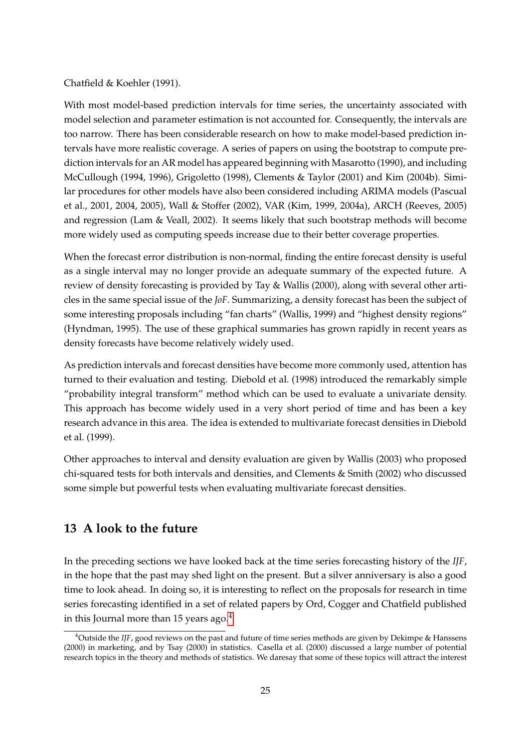#### Chatfield & Koehler (1991).

With most model-based prediction intervals for time series, the uncertainty associated with model selection and parameter estimation is not accounted for. Consequently, the intervals are too narrow. There has been considerable research on how to make model-based prediction intervals have more realistic coverage. A series of papers on using the bootstrap to compute prediction intervals for an AR model has appeared beginning with Masarotto (1990), and including McCullough (1994, 1996), Grigoletto (1998), Clements & Taylor (2001) and Kim (2004b). Similar procedures for other models have also been considered including ARIMA models (Pascual et al., 2001, 2004, 2005), Wall & Stoffer (2002), VAR (Kim, 1999, 2004a), ARCH (Reeves, 2005) and regression (Lam & Veall, 2002). It seems likely that such bootstrap methods will become more widely used as computing speeds increase due to their better coverage properties.

When the forecast error distribution is non-normal, finding the entire forecast density is useful as a single interval may no longer provide an adequate summary of the expected future. A review of density forecasting is provided by Tay & Wallis (2000), along with several other articles in the same special issue of the *JoF*. Summarizing, a density forecast has been the subject of some interesting proposals including "fan charts" (Wallis, 1999) and "highest density regions" (Hyndman, 1995). The use of these graphical summaries has grown rapidly in recent years as density forecasts have become relatively widely used.

As prediction intervals and forecast densities have become more commonly used, attention has turned to their evaluation and testing. Diebold et al. (1998) introduced the remarkably simple "probability integral transform" method which can be used to evaluate a univariate density. This approach has become widely used in a very short period of time and has been a key research advance in this area. The idea is extended to multivariate forecast densities in Diebold et al. (1999).

Other approaches to interval and density evaluation are given by Wallis (2003) who proposed chi-squared tests for both intervals and densities, and Clements & Smith (2002) who discussed some simple but powerful tests when evaluating multivariate forecast densities.

## <span id="page-26-0"></span>**13 A look to the future**

In the preceding sections we have looked back at the time series forecasting history of the *IJF*, in the hope that the past may shed light on the present. But a silver anniversary is also a good time to look ahead. In doing so, it is interesting to reflect on the proposals for research in time series forecasting identified in a set of related papers by Ord, Cogger and Chatfield published in this Journal more than 15 years ago. $4$ 

<span id="page-26-1"></span><sup>&</sup>lt;sup>4</sup>Outside the *IJF*, good reviews on the past and future of time series methods are given by Dekimpe & Hanssens (2000) in marketing, and by Tsay (2000) in statistics. Casella et al. (2000) discussed a large number of potential research topics in the theory and methods of statistics. We daresay that some of these topics will attract the interest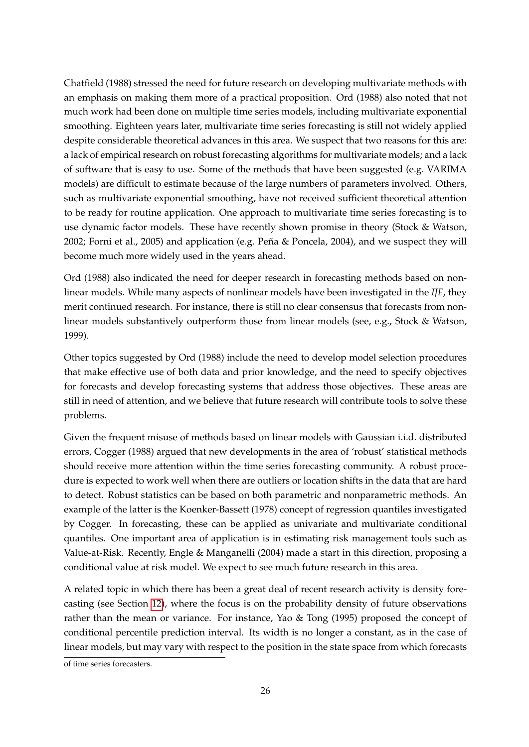Chatfield (1988) stressed the need for future research on developing multivariate methods with an emphasis on making them more of a practical proposition. Ord (1988) also noted that not much work had been done on multiple time series models, including multivariate exponential smoothing. Eighteen years later, multivariate time series forecasting is still not widely applied despite considerable theoretical advances in this area. We suspect that two reasons for this are: a lack of empirical research on robust forecasting algorithms for multivariate models; and a lack of software that is easy to use. Some of the methods that have been suggested (e.g. VARIMA models) are difficult to estimate because of the large numbers of parameters involved. Others, such as multivariate exponential smoothing, have not received sufficient theoretical attention to be ready for routine application. One approach to multivariate time series forecasting is to use dynamic factor models. These have recently shown promise in theory (Stock & Watson, 2002; Forni et al., 2005) and application (e.g. Peña & Poncela, 2004), and we suspect they will become much more widely used in the years ahead.

Ord (1988) also indicated the need for deeper research in forecasting methods based on nonlinear models. While many aspects of nonlinear models have been investigated in the *IJF*, they merit continued research. For instance, there is still no clear consensus that forecasts from nonlinear models substantively outperform those from linear models (see, e.g., Stock & Watson, 1999).

Other topics suggested by Ord (1988) include the need to develop model selection procedures that make effective use of both data and prior knowledge, and the need to specify objectives for forecasts and develop forecasting systems that address those objectives. These areas are still in need of attention, and we believe that future research will contribute tools to solve these problems.

Given the frequent misuse of methods based on linear models with Gaussian i.i.d. distributed errors, Cogger (1988) argued that new developments in the area of 'robust' statistical methods should receive more attention within the time series forecasting community. A robust procedure is expected to work well when there are outliers or location shifts in the data that are hard to detect. Robust statistics can be based on both parametric and nonparametric methods. An example of the latter is the Koenker-Bassett (1978) concept of regression quantiles investigated by Cogger. In forecasting, these can be applied as univariate and multivariate conditional quantiles. One important area of application is in estimating risk management tools such as Value-at-Risk. Recently, Engle & Manganelli (2004) made a start in this direction, proposing a conditional value at risk model. We expect to see much future research in this area.

A related topic in which there has been a great deal of recent research activity is density forecasting (see Section [12\)](#page-25-0), where the focus is on the probability density of future observations rather than the mean or variance. For instance, Yao & Tong (1995) proposed the concept of conditional percentile prediction interval. Its width is no longer a constant, as in the case of linear models, but may vary with respect to the position in the state space from which forecasts

of time series forecasters.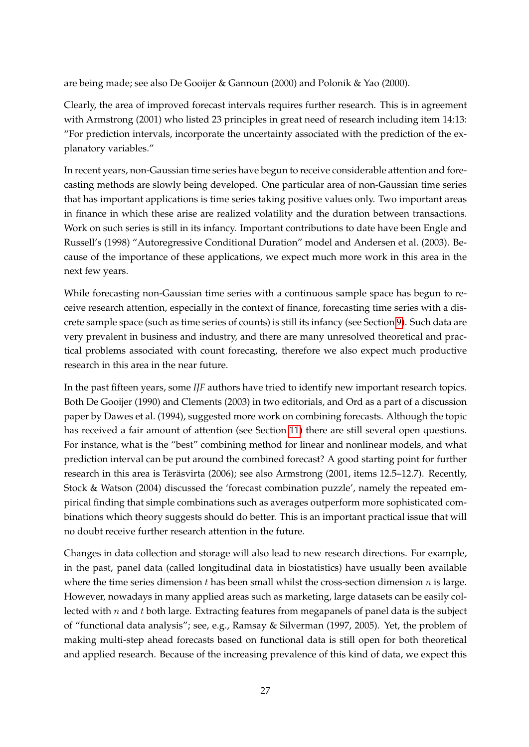are being made; see also De Gooijer & Gannoun (2000) and Polonik & Yao (2000).

Clearly, the area of improved forecast intervals requires further research. This is in agreement with Armstrong (2001) who listed 23 principles in great need of research including item 14:13: "For prediction intervals, incorporate the uncertainty associated with the prediction of the explanatory variables."

In recent years, non-Gaussian time series have begun to receive considerable attention and forecasting methods are slowly being developed. One particular area of non-Gaussian time series that has important applications is time series taking positive values only. Two important areas in finance in which these arise are realized volatility and the duration between transactions. Work on such series is still in its infancy. Important contributions to date have been Engle and Russell's (1998) "Autoregressive Conditional Duration" model and Andersen et al. (2003). Because of the importance of these applications, we expect much more work in this area in the next few years.

While forecasting non-Gaussian time series with a continuous sample space has begun to receive research attention, especially in the context of finance, forecasting time series with a discrete sample space (such as time series of counts) is still its infancy (see Section [9\)](#page-21-0). Such data are very prevalent in business and industry, and there are many unresolved theoretical and practical problems associated with count forecasting, therefore we also expect much productive research in this area in the near future.

In the past fifteen years, some *IJF* authors have tried to identify new important research topics. Both De Gooijer (1990) and Clements (2003) in two editorials, and Ord as a part of a discussion paper by Dawes et al. (1994), suggested more work on combining forecasts. Although the topic has received a fair amount of attention (see Section [11\)](#page-24-0) there are still several open questions. For instance, what is the "best" combining method for linear and nonlinear models, and what prediction interval can be put around the combined forecast? A good starting point for further research in this area is Teräsvirta (2006); see also Armstrong (2001, items 12.5–12.7). Recently, Stock & Watson (2004) discussed the 'forecast combination puzzle', namely the repeated empirical finding that simple combinations such as averages outperform more sophisticated combinations which theory suggests should do better. This is an important practical issue that will no doubt receive further research attention in the future.

Changes in data collection and storage will also lead to new research directions. For example, in the past, panel data (called longitudinal data in biostatistics) have usually been available where the time series dimension  $t$  has been small whilst the cross-section dimension  $n$  is large. However, nowadays in many applied areas such as marketing, large datasets can be easily collected with  $n$  and  $t$  both large. Extracting features from megapanels of panel data is the subject of "functional data analysis"; see, e.g., Ramsay & Silverman (1997, 2005). Yet, the problem of making multi-step ahead forecasts based on functional data is still open for both theoretical and applied research. Because of the increasing prevalence of this kind of data, we expect this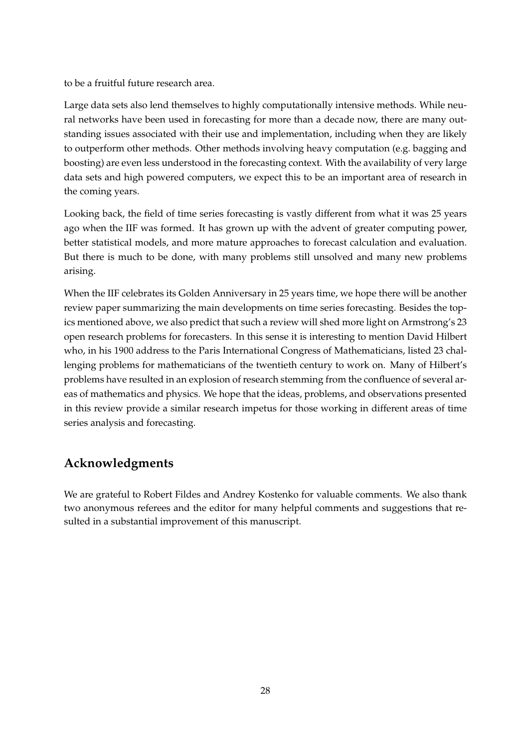to be a fruitful future research area.

Large data sets also lend themselves to highly computationally intensive methods. While neural networks have been used in forecasting for more than a decade now, there are many outstanding issues associated with their use and implementation, including when they are likely to outperform other methods. Other methods involving heavy computation (e.g. bagging and boosting) are even less understood in the forecasting context. With the availability of very large data sets and high powered computers, we expect this to be an important area of research in the coming years.

Looking back, the field of time series forecasting is vastly different from what it was 25 years ago when the IIF was formed. It has grown up with the advent of greater computing power, better statistical models, and more mature approaches to forecast calculation and evaluation. But there is much to be done, with many problems still unsolved and many new problems arising.

When the IIF celebrates its Golden Anniversary in 25 years time, we hope there will be another review paper summarizing the main developments on time series forecasting. Besides the topics mentioned above, we also predict that such a review will shed more light on Armstrong's 23 open research problems for forecasters. In this sense it is interesting to mention David Hilbert who, in his 1900 address to the Paris International Congress of Mathematicians, listed 23 challenging problems for mathematicians of the twentieth century to work on. Many of Hilbert's problems have resulted in an explosion of research stemming from the confluence of several areas of mathematics and physics. We hope that the ideas, problems, and observations presented in this review provide a similar research impetus for those working in different areas of time series analysis and forecasting.

## **Acknowledgments**

<span id="page-29-0"></span>We are grateful to Robert Fildes and Andrey Kostenko for valuable comments. We also thank two anonymous referees and the editor for many helpful comments and suggestions that resulted in a substantial improvement of this manuscript.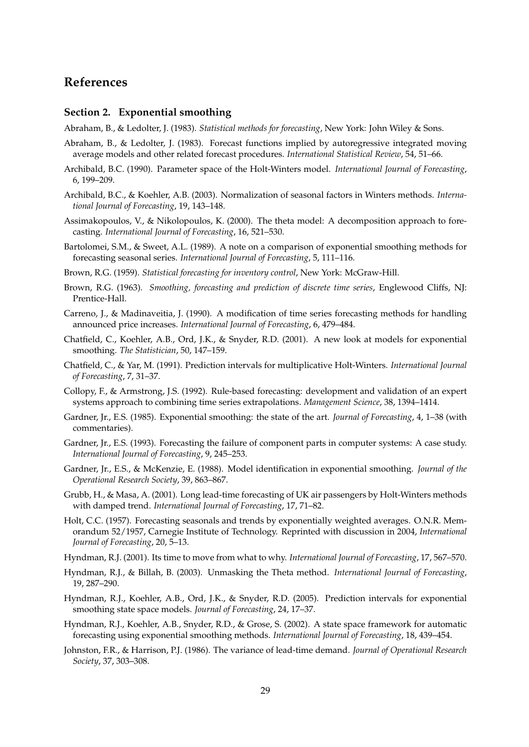### **References**

#### <span id="page-30-0"></span>**Section 2. Exponential smoothing**

Abraham, B., & Ledolter, J. (1983). *Statistical methods for forecasting*, New York: John Wiley & Sons.

- Abraham, B., & Ledolter, J. (1983). Forecast functions implied by autoregressive integrated moving average models and other related forecast procedures. *International Statistical Review*, 54, 51–66.
- Archibald, B.C. (1990). Parameter space of the Holt-Winters model. *International Journal of Forecasting*, 6, 199–209.
- Archibald, B.C., & Koehler, A.B. (2003). Normalization of seasonal factors in Winters methods. *International Journal of Forecasting*, 19, 143–148.
- Assimakopoulos, V., & Nikolopoulos, K. (2000). The theta model: A decomposition approach to forecasting. *International Journal of Forecasting*, 16, 521–530.
- Bartolomei, S.M., & Sweet, A.L. (1989). A note on a comparison of exponential smoothing methods for forecasting seasonal series. *International Journal of Forecasting*, 5, 111–116.
- Brown, R.G. (1959). *Statistical forecasting for inventory control*, New York: McGraw-Hill.
- Brown, R.G. (1963). *Smoothing, forecasting and prediction of discrete time series*, Englewood Cliffs, NJ: Prentice-Hall.
- Carreno, J., & Madinaveitia, J. (1990). A modification of time series forecasting methods for handling announced price increases. *International Journal of Forecasting*, 6, 479–484.
- Chatfield, C., Koehler, A.B., Ord, J.K., & Snyder, R.D. (2001). A new look at models for exponential smoothing. *The Statistician*, 50, 147–159.
- Chatfield, C., & Yar, M. (1991). Prediction intervals for multiplicative Holt-Winters. *International Journal of Forecasting*, 7, 31–37.
- Collopy, F., & Armstrong, J.S. (1992). Rule-based forecasting: development and validation of an expert systems approach to combining time series extrapolations. *Management Science*, 38, 1394–1414.
- Gardner, Jr., E.S. (1985). Exponential smoothing: the state of the art. *Journal of Forecasting*, 4, 1–38 (with commentaries).
- Gardner, Jr., E.S. (1993). Forecasting the failure of component parts in computer systems: A case study. *International Journal of Forecasting*, 9, 245–253.
- Gardner, Jr., E.S., & McKenzie, E. (1988). Model identification in exponential smoothing. *Journal of the Operational Research Society*, 39, 863–867.
- Grubb, H., & Masa, A. (2001). Long lead-time forecasting of UK air passengers by Holt-Winters methods with damped trend. *International Journal of Forecasting*, 17, 71–82.
- Holt, C.C. (1957). Forecasting seasonals and trends by exponentially weighted averages. O.N.R. Memorandum 52/1957, Carnegie Institute of Technology. Reprinted with discussion in 2004, *International Journal of Forecasting*, 20, 5–13.
- Hyndman, R.J. (2001). Its time to move from what to why. *International Journal of Forecasting*, 17, 567–570.
- Hyndman, R.J., & Billah, B. (2003). Unmasking the Theta method. *International Journal of Forecasting*, 19, 287–290.
- Hyndman, R.J., Koehler, A.B., Ord, J.K., & Snyder, R.D. (2005). Prediction intervals for exponential smoothing state space models. *Journal of Forecasting*, 24, 17–37.
- Hyndman, R.J., Koehler, A.B., Snyder, R.D., & Grose, S. (2002). A state space framework for automatic forecasting using exponential smoothing methods. *International Journal of Forecasting*, 18, 439–454.
- Johnston, F.R., & Harrison, P.J. (1986). The variance of lead-time demand. *Journal of Operational Research Society*, 37, 303–308.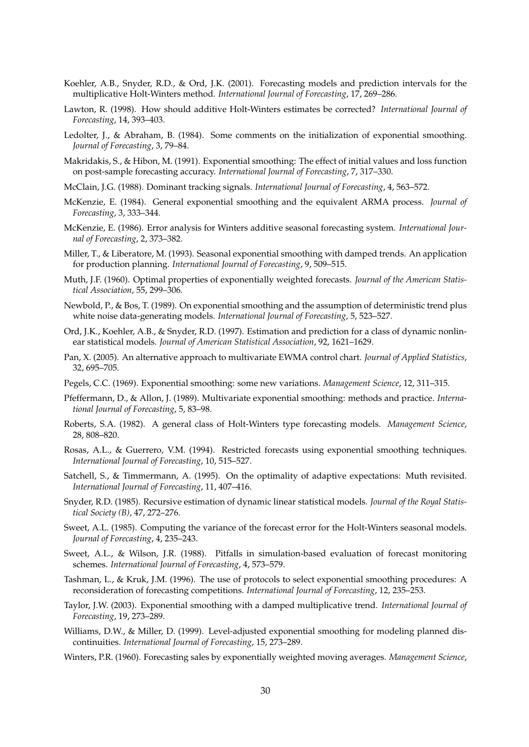- Koehler, A.B., Snyder, R.D., & Ord, J.K. (2001). Forecasting models and prediction intervals for the multiplicative Holt-Winters method. *International Journal of Forecasting*, 17, 269–286.
- Lawton, R. (1998). How should additive Holt-Winters estimates be corrected? *International Journal of Forecasting*, 14, 393–403.
- Ledolter, J., & Abraham, B. (1984). Some comments on the initialization of exponential smoothing. *Journal of Forecasting*, 3, 79–84.
- Makridakis, S., & Hibon, M. (1991). Exponential smoothing: The effect of initial values and loss function on post-sample forecasting accuracy. *International Journal of Forecasting*, 7, 317–330.
- McClain, J.G. (1988). Dominant tracking signals. *International Journal of Forecasting*, 4, 563–572.
- McKenzie, E. (1984). General exponential smoothing and the equivalent ARMA process. *Journal of Forecasting*, 3, 333–344.
- McKenzie, E. (1986). Error analysis for Winters additive seasonal forecasting system. *International Journal of Forecasting*, 2, 373–382.
- Miller, T., & Liberatore, M. (1993). Seasonal exponential smoothing with damped trends. An application for production planning. *International Journal of Forecasting*, 9, 509–515.
- Muth, J.F. (1960). Optimal properties of exponentially weighted forecasts. *Journal of the American Statistical Association*, 55, 299–306.
- Newbold, P., & Bos, T. (1989). On exponential smoothing and the assumption of deterministic trend plus white noise data-generating models. *International Journal of Forecasting*, 5, 523–527.
- Ord, J.K., Koehler, A.B., & Snyder, R.D. (1997). Estimation and prediction for a class of dynamic nonlinear statistical models. *Journal of American Statistical Association*, 92, 1621–1629.
- Pan, X. (2005). An alternative approach to multivariate EWMA control chart. *Journal of Applied Statistics*, 32, 695–705.
- Pegels, C.C. (1969). Exponential smoothing: some new variations. *Management Science*, 12, 311–315.
- Pfeffermann, D., & Allon, J. (1989). Multivariate exponential smoothing: methods and practice. *International Journal of Forecasting*, 5, 83–98.
- Roberts, S.A. (1982). A general class of Holt-Winters type forecasting models. *Management Science*, 28, 808–820.
- Rosas, A.L., & Guerrero, V.M. (1994). Restricted forecasts using exponential smoothing techniques. *International Journal of Forecasting*, 10, 515–527.
- Satchell, S., & Timmermann, A. (1995). On the optimality of adaptive expectations: Muth revisited. *International Journal of Forecasting*, 11, 407–416.
- Snyder, R.D. (1985). Recursive estimation of dynamic linear statistical models. *Journal of the Royal Statistical Society (B)*, 47, 272–276.
- Sweet, A.L. (1985). Computing the variance of the forecast error for the Holt-Winters seasonal models. *Journal of Forecasting*, 4, 235–243.
- Sweet, A.L., & Wilson, J.R. (1988). Pitfalls in simulation-based evaluation of forecast monitoring schemes. *International Journal of Forecasting*, 4, 573–579.
- Tashman, L., & Kruk, J.M. (1996). The use of protocols to select exponential smoothing procedures: A reconsideration of forecasting competitions. *International Journal of Forecasting*, 12, 235–253.
- Taylor, J.W. (2003). Exponential smoothing with a damped multiplicative trend. *International Journal of Forecasting*, 19, 273–289.
- Williams, D.W., & Miller, D. (1999). Level-adjusted exponential smoothing for modeling planned discontinuities. *International Journal of Forecasting*, 15, 273–289.
- Winters, P.R. (1960). Forecasting sales by exponentially weighted moving averages. *Management Science*,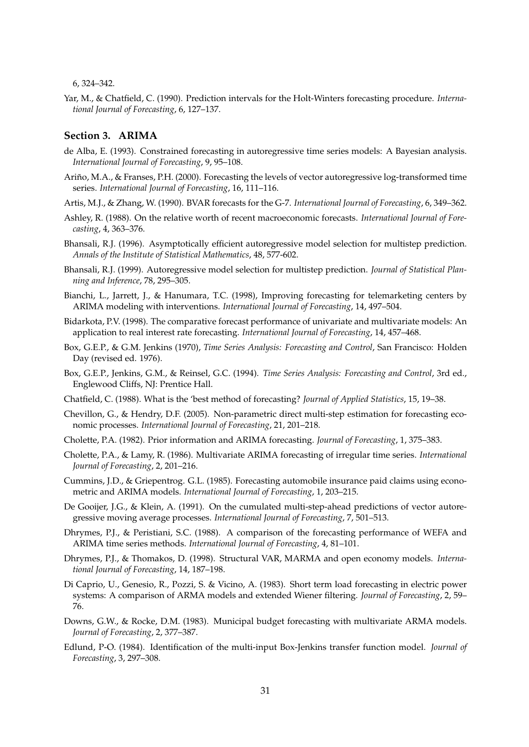6, 324–342.

Yar, M., & Chatfield, C. (1990). Prediction intervals for the Holt-Winters forecasting procedure. *International Journal of Forecasting*, 6, 127–137.

#### **Section 3. ARIMA**

- de Alba, E. (1993). Constrained forecasting in autoregressive time series models: A Bayesian analysis. *International Journal of Forecasting*, 9, 95–108.
- Ariño, M.A., & Franses, P.H. (2000). Forecasting the levels of vector autoregressive log-transformed time series. *International Journal of Forecasting*, 16, 111–116.
- Artis, M.J., & Zhang, W. (1990). BVAR forecasts for the G-7. *International Journal of Forecasting*, 6, 349–362.
- Ashley, R. (1988). On the relative worth of recent macroeconomic forecasts. *International Journal of Forecasting*, 4, 363–376.
- Bhansali, R.J. (1996). Asymptotically efficient autoregressive model selection for multistep prediction. *Annals of the Institute of Statistical Mathematics*, 48, 577-602.
- Bhansali, R.J. (1999). Autoregressive model selection for multistep prediction. *Journal of Statistical Planning and Inference*, 78, 295–305.
- Bianchi, L., Jarrett, J., & Hanumara, T.C. (1998), Improving forecasting for telemarketing centers by ARIMA modeling with interventions. *International Journal of Forecasting*, 14, 497–504.
- Bidarkota, P.V. (1998). The comparative forecast performance of univariate and multivariate models: An application to real interest rate forecasting. *International Journal of Forecasting*, 14, 457–468.
- Box, G.E.P., & G.M. Jenkins (1970), *Time Series Analysis: Forecasting and Control*, San Francisco: Holden Day (revised ed. 1976).
- Box, G.E.P., Jenkins, G.M., & Reinsel, G.C. (1994). *Time Series Analysis: Forecasting and Control*, 3rd ed., Englewood Cliffs, NJ: Prentice Hall.
- Chatfield, C. (1988). What is the 'best method of forecasting? *Journal of Applied Statistics*, 15, 19–38.
- Chevillon, G., & Hendry, D.F. (2005). Non-parametric direct multi-step estimation for forecasting economic processes. *International Journal of Forecasting*, 21, 201–218.
- Cholette, P.A. (1982). Prior information and ARIMA forecasting. *Journal of Forecasting*, 1, 375–383.
- Cholette, P.A., & Lamy, R. (1986). Multivariate ARIMA forecasting of irregular time series. *International Journal of Forecasting*, 2, 201–216.
- Cummins, J.D., & Griepentrog. G.L. (1985). Forecasting automobile insurance paid claims using econometric and ARIMA models. *International Journal of Forecasting*, 1, 203–215.
- De Gooijer, J.G., & Klein, A. (1991). On the cumulated multi-step-ahead predictions of vector autoregressive moving average processes. *International Journal of Forecasting*, 7, 501–513.
- Dhrymes, P.J., & Peristiani, S.C. (1988). A comparison of the forecasting performance of WEFA and ARIMA time series methods. *International Journal of Forecasting*, 4, 81–101.
- Dhrymes, P.J., & Thomakos, D. (1998). Structural VAR, MARMA and open economy models. *International Journal of Forecasting*, 14, 187–198.
- Di Caprio, U., Genesio, R., Pozzi, S. & Vicino, A. (1983). Short term load forecasting in electric power systems: A comparison of ARMA models and extended Wiener filtering. *Journal of Forecasting*, 2, 59– 76.
- Downs, G.W., & Rocke, D.M. (1983). Municipal budget forecasting with multivariate ARMA models. *Journal of Forecasting*, 2, 377–387.
- Edlund, P-O. (1984). Identification of the multi-input Box-Jenkins transfer function model. *Journal of Forecasting*, 3, 297–308.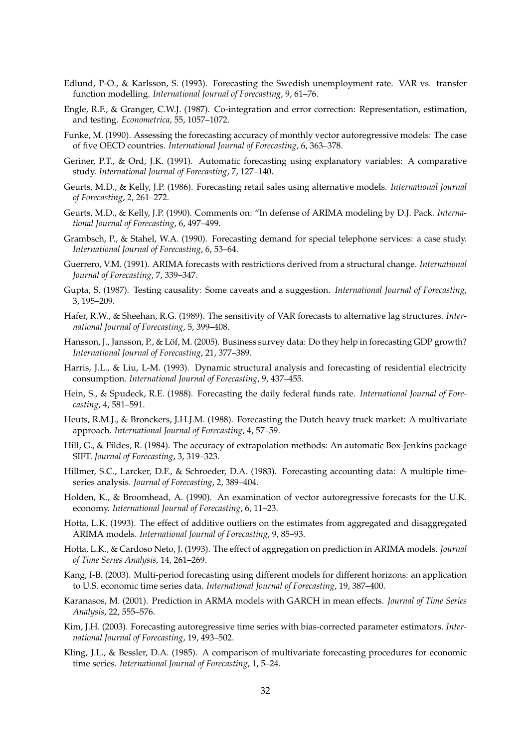- Edlund, P-O., & Karlsson, S. (1993). Forecasting the Swedish unemployment rate. VAR vs. transfer function modelling. *International Journal of Forecasting*, 9, 61–76.
- Engle, R.F., & Granger, C.W.J. (1987). Co-integration and error correction: Representation, estimation, and testing. *Econometrica*, 55, 1057–1072.
- Funke, M. (1990). Assessing the forecasting accuracy of monthly vector autoregressive models: The case of five OECD countries. *International Journal of Forecasting*, 6, 363–378.
- Geriner, P.T., & Ord, J.K. (1991). Automatic forecasting using explanatory variables: A comparative study. *International Journal of Forecasting*, 7, 127–140.
- Geurts, M.D., & Kelly, J.P. (1986). Forecasting retail sales using alternative models. *International Journal of Forecasting*, 2, 261–272.
- Geurts, M.D., & Kelly, J.P. (1990). Comments on: "In defense of ARIMA modeling by D.J. Pack. *International Journal of Forecasting*, 6, 497–499.
- Grambsch, P., & Stahel, W.A. (1990). Forecasting demand for special telephone services: a case study. *International Journal of Forecasting*, 6, 53–64.
- Guerrero, V.M. (1991). ARIMA forecasts with restrictions derived from a structural change. *International Journal of Forecasting*, 7, 339–347.
- Gupta, S. (1987). Testing causality: Some caveats and a suggestion. *International Journal of Forecasting*, 3, 195–209.
- Hafer, R.W., & Sheehan, R.G. (1989). The sensitivity of VAR forecasts to alternative lag structures. *International Journal of Forecasting*, 5, 399–408.
- Hansson, J., Jansson, P., & Löf, M. (2005). Business survey data: Do they help in forecasting GDP growth? *International Journal of Forecasting*, 21, 377–389.
- Harris, J.L., & Liu, L-M. (1993). Dynamic structural analysis and forecasting of residential electricity consumption. *International Journal of Forecasting*, 9, 437–455.
- Hein, S., & Spudeck, R.E. (1988). Forecasting the daily federal funds rate. *International Journal of Forecasting*, 4, 581–591.
- Heuts, R.M.J., & Bronckers, J.H.J.M. (1988). Forecasting the Dutch heavy truck market: A multivariate approach. *International Journal of Forecasting*, 4, 57–59.
- Hill, G., & Fildes, R. (1984). The accuracy of extrapolation methods: An automatic Box-Jenkins package SIFT. *Journal of Forecasting*, 3, 319–323.
- Hillmer, S.C., Larcker, D.F., & Schroeder, D.A. (1983). Forecasting accounting data: A multiple timeseries analysis. *Journal of Forecasting*, 2, 389–404.
- Holden, K., & Broomhead, A. (1990). An examination of vector autoregressive forecasts for the U.K. economy. *International Journal of Forecasting*, 6, 11–23.
- Hotta, L.K. (1993). The effect of additive outliers on the estimates from aggregated and disaggregated ARIMA models. *International Journal of Forecasting*, 9, 85–93.
- Hotta, L.K., & Cardoso Neto, J. (1993). The effect of aggregation on prediction in ARIMA models. *Journal of Time Series Analysis*, 14, 261–269.
- Kang, I-B. (2003). Multi-period forecasting using different models for different horizons: an application to U.S. economic time series data. *International Journal of Forecasting*, 19, 387–400.
- Karanasos, M. (2001). Prediction in ARMA models with GARCH in mean effects. *Journal of Time Series Analysis*, 22, 555–576.
- Kim, J.H. (2003). Forecasting autoregressive time series with bias-corrected parameter estimators. *International Journal of Forecasting*, 19, 493–502.
- Kling, J.L., & Bessler, D.A. (1985). A comparison of multivariate forecasting procedures for economic time series. *International Journal of Forecasting*, 1, 5–24.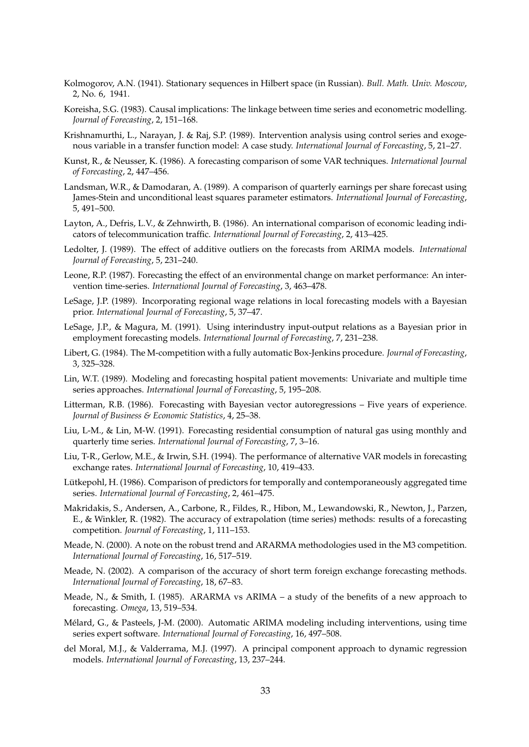- Kolmogorov, A.N. (1941). Stationary sequences in Hilbert space (in Russian). *Bull. Math. Univ. Moscow*, 2, No. 6, 1941.
- Koreisha, S.G. (1983). Causal implications: The linkage between time series and econometric modelling. *Journal of Forecasting*, 2, 151–168.
- Krishnamurthi, L., Narayan, J. & Raj, S.P. (1989). Intervention analysis using control series and exogenous variable in a transfer function model: A case study. *International Journal of Forecasting*, 5, 21–27.
- Kunst, R., & Neusser, K. (1986). A forecasting comparison of some VAR techniques. *International Journal of Forecasting*, 2, 447–456.
- Landsman, W.R., & Damodaran, A. (1989). A comparison of quarterly earnings per share forecast using James-Stein and unconditional least squares parameter estimators. *International Journal of Forecasting*, 5, 491–500.
- Layton, A., Defris, L.V., & Zehnwirth, B. (1986). An international comparison of economic leading indicators of telecommunication traffic. *International Journal of Forecasting*, 2, 413–425.
- Ledolter, J. (1989). The effect of additive outliers on the forecasts from ARIMA models. *International Journal of Forecasting*, 5, 231–240.
- Leone, R.P. (1987). Forecasting the effect of an environmental change on market performance: An intervention time-series. *International Journal of Forecasting*, 3, 463–478.
- LeSage, J.P. (1989). Incorporating regional wage relations in local forecasting models with a Bayesian prior. *International Journal of Forecasting*, 5, 37–47.
- LeSage, J.P., & Magura, M. (1991). Using interindustry input-output relations as a Bayesian prior in employment forecasting models. *International Journal of Forecasting*, 7, 231–238.
- Libert, G. (1984). The M-competition with a fully automatic Box-Jenkins procedure. *Journal of Forecasting*, 3, 325–328.
- Lin, W.T. (1989). Modeling and forecasting hospital patient movements: Univariate and multiple time series approaches. *International Journal of Forecasting*, 5, 195–208.
- Litterman, R.B. (1986). Forecasting with Bayesian vector autoregressions Five years of experience. *Journal of Business & Economic Statistics*, 4, 25–38.
- Liu, L-M., & Lin, M-W. (1991). Forecasting residential consumption of natural gas using monthly and quarterly time series. *International Journal of Forecasting*, 7, 3–16.
- Liu, T-R., Gerlow, M.E., & Irwin, S.H. (1994). The performance of alternative VAR models in forecasting exchange rates. *International Journal of Forecasting*, 10, 419–433.
- Lütkepohl, H. (1986). Comparison of predictors for temporally and contemporaneously aggregated time series. *International Journal of Forecasting*, 2, 461–475.
- Makridakis, S., Andersen, A., Carbone, R., Fildes, R., Hibon, M., Lewandowski, R., Newton, J., Parzen, E., & Winkler, R. (1982). The accuracy of extrapolation (time series) methods: results of a forecasting competition. *Journal of Forecasting*, 1, 111–153.
- Meade, N. (2000). A note on the robust trend and ARARMA methodologies used in the M3 competition. *International Journal of Forecasting*, 16, 517–519.
- Meade, N. (2002). A comparison of the accuracy of short term foreign exchange forecasting methods. *International Journal of Forecasting*, 18, 67–83.
- Meade, N., & Smith, I. (1985). ARARMA vs ARIMA a study of the benefits of a new approach to forecasting. *Omega*, 13, 519–534.
- Mélard, G., & Pasteels, J-M. (2000). Automatic ARIMA modeling including interventions, using time series expert software. *International Journal of Forecasting*, 16, 497–508.
- del Moral, M.J., & Valderrama, M.J. (1997). A principal component approach to dynamic regression models. *International Journal of Forecasting*, 13, 237–244.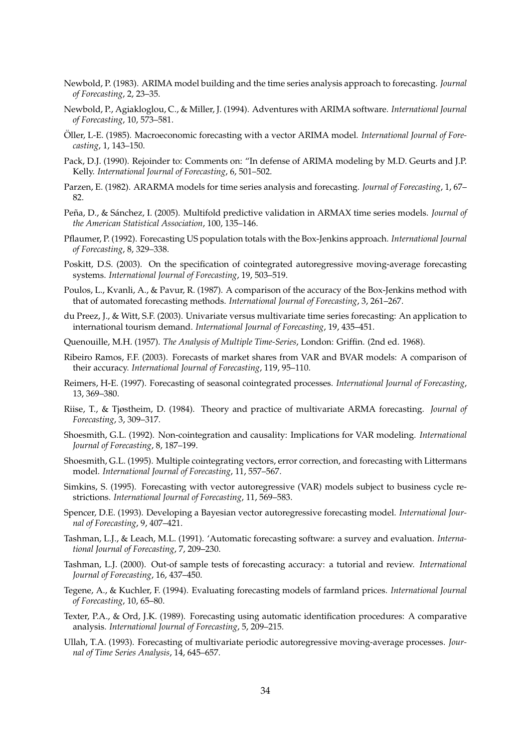- Newbold, P. (1983). ARIMA model building and the time series analysis approach to forecasting. *Journal of Forecasting*, 2, 23–35.
- Newbold, P., Agiakloglou, C., & Miller, J. (1994). Adventures with ARIMA software. *International Journal of Forecasting*, 10, 573–581.
- Oller, L-E. (1985). Macroeconomic forecasting with a vector ARIMA model. *International Journal of Forecasting*, 1, 143–150.
- Pack, D.J. (1990). Rejoinder to: Comments on: "In defense of ARIMA modeling by M.D. Geurts and J.P. Kelly. *International Journal of Forecasting*, 6, 501–502.
- Parzen, E. (1982). ARARMA models for time series analysis and forecasting. *Journal of Forecasting*, 1, 67– 82.
- Peña, D., & Sánchez, I. (2005). Multifold predictive validation in ARMAX time series models. *Journal of the American Statistical Association*, 100, 135–146.
- Pflaumer, P. (1992). Forecasting US population totals with the Box-Jenkins approach. *International Journal of Forecasting*, 8, 329–338.
- Poskitt, D.S. (2003). On the specification of cointegrated autoregressive moving-average forecasting systems. *International Journal of Forecasting*, 19, 503–519.
- Poulos, L., Kvanli, A., & Pavur, R. (1987). A comparison of the accuracy of the Box-Jenkins method with that of automated forecasting methods. *International Journal of Forecasting*, 3, 261–267.
- du Preez, J., & Witt, S.F. (2003). Univariate versus multivariate time series forecasting: An application to international tourism demand. *International Journal of Forecasting*, 19, 435–451.
- Quenouille, M.H. (1957). *The Analysis of Multiple Time-Series*, London: Griffin. (2nd ed. 1968).
- Ribeiro Ramos, F.F. (2003). Forecasts of market shares from VAR and BVAR models: A comparison of their accuracy. *International Journal of Forecasting*, 119, 95–110.
- Reimers, H-E. (1997). Forecasting of seasonal cointegrated processes. *International Journal of Forecasting*, 13, 369–380.
- Riise, T., & Tjøstheim, D. (1984). Theory and practice of multivariate ARMA forecasting. *Journal of Forecasting*, 3, 309–317.
- Shoesmith, G.L. (1992). Non-cointegration and causality: Implications for VAR modeling. *International Journal of Forecasting*, 8, 187–199.
- Shoesmith, G.L. (1995). Multiple cointegrating vectors, error correction, and forecasting with Littermans model. *International Journal of Forecasting*, 11, 557–567.
- Simkins, S. (1995). Forecasting with vector autoregressive (VAR) models subject to business cycle restrictions. *International Journal of Forecasting*, 11, 569–583.
- Spencer, D.E. (1993). Developing a Bayesian vector autoregressive forecasting model. *International Journal of Forecasting*, 9, 407–421.
- Tashman, L.J., & Leach, M.L. (1991). 'Automatic forecasting software: a survey and evaluation. *International Journal of Forecasting*, 7, 209–230.
- Tashman, L.J. (2000). Out-of sample tests of forecasting accuracy: a tutorial and review. *International Journal of Forecasting*, 16, 437–450.
- Tegene, A., & Kuchler, F. (1994). Evaluating forecasting models of farmland prices. *International Journal of Forecasting*, 10, 65–80.
- Texter, P.A., & Ord, J.K. (1989). Forecasting using automatic identification procedures: A comparative analysis. *International Journal of Forecasting*, 5, 209–215.
- Ullah, T.A. (1993). Forecasting of multivariate periodic autoregressive moving-average processes. *Journal of Time Series Analysis*, 14, 645–657.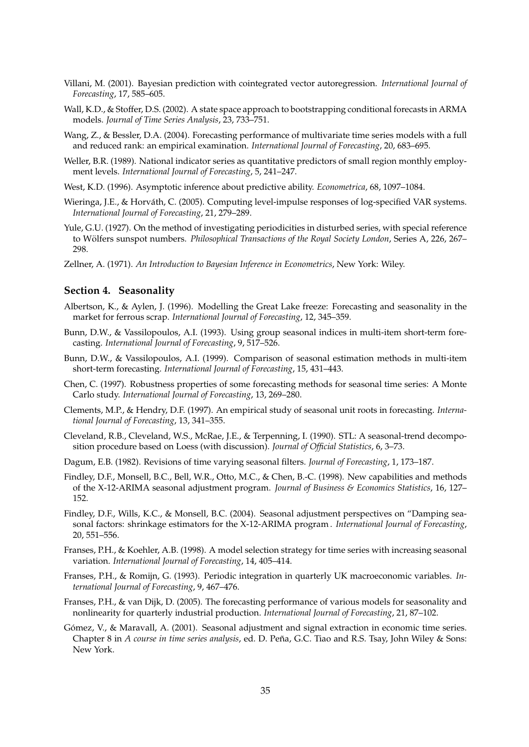- Villani, M. (2001). Bayesian prediction with cointegrated vector autoregression. *International Journal of Forecasting*, 17, 585–605.
- Wall, K.D., & Stoffer, D.S. (2002). A state space approach to bootstrapping conditional forecasts in ARMA models. *Journal of Time Series Analysis*, 23, 733–751.
- Wang, Z., & Bessler, D.A. (2004). Forecasting performance of multivariate time series models with a full and reduced rank: an empirical examination. *International Journal of Forecasting*, 20, 683–695.
- Weller, B.R. (1989). National indicator series as quantitative predictors of small region monthly employment levels. *International Journal of Forecasting*, 5, 241–247.
- West, K.D. (1996). Asymptotic inference about predictive ability. *Econometrica*, 68, 1097–1084.
- Wieringa, J.E., & Horváth, C. (2005). Computing level-impulse responses of log-specified VAR systems. *International Journal of Forecasting*, 21, 279–289.
- Yule, G.U. (1927). On the method of investigating periodicities in disturbed series, with special reference to Wölfers sunspot numbers. *Philosophical Transactions of the Royal Society London*, Series A, 226, 267– 298.
- Zellner, A. (1971). *An Introduction to Bayesian Inference in Econometrics*, New York: Wiley.

#### **Section 4. Seasonality**

- Albertson, K., & Aylen, J. (1996). Modelling the Great Lake freeze: Forecasting and seasonality in the market for ferrous scrap. *International Journal of Forecasting*, 12, 345–359.
- Bunn, D.W., & Vassilopoulos, A.I. (1993). Using group seasonal indices in multi-item short-term forecasting. *International Journal of Forecasting*, 9, 517–526.
- Bunn, D.W., & Vassilopoulos, A.I. (1999). Comparison of seasonal estimation methods in multi-item short-term forecasting. *International Journal of Forecasting*, 15, 431–443.
- Chen, C. (1997). Robustness properties of some forecasting methods for seasonal time series: A Monte Carlo study. *International Journal of Forecasting*, 13, 269–280.
- Clements, M.P., & Hendry, D.F. (1997). An empirical study of seasonal unit roots in forecasting. *International Journal of Forecasting*, 13, 341–355.
- Cleveland, R.B., Cleveland, W.S., McRae, J.E., & Terpenning, I. (1990). STL: A seasonal-trend decomposition procedure based on Loess (with discussion). *Journal of Official Statistics*, 6, 3–73.
- Dagum, E.B. (1982). Revisions of time varying seasonal filters. *Journal of Forecasting*, 1, 173–187.
- Findley, D.F., Monsell, B.C., Bell, W.R., Otto, M.C., & Chen, B.-C. (1998). New capabilities and methods of the X-12-ARIMA seasonal adjustment program. *Journal of Business & Economics Statistics*, 16, 127– 152.
- Findley, D.F., Wills, K.C., & Monsell, B.C. (2004). Seasonal adjustment perspectives on "Damping seasonal factors: shrinkage estimators for the X-12-ARIMA program . *International Journal of Forecasting*, 20, 551–556.
- Franses, P.H., & Koehler, A.B. (1998). A model selection strategy for time series with increasing seasonal variation. *International Journal of Forecasting*, 14, 405–414.
- Franses, P.H., & Romijn, G. (1993). Periodic integration in quarterly UK macroeconomic variables. *International Journal of Forecasting*, 9, 467–476.
- Franses, P.H., & van Dijk, D. (2005). The forecasting performance of various models for seasonality and nonlinearity for quarterly industrial production. *International Journal of Forecasting*, 21, 87–102.
- Gómez, V., & Maravall, A. (2001). Seasonal adjustment and signal extraction in economic time series. Chapter 8 in *A course in time series analysis*, ed. D. Pena, G.C. Tiao and R.S. Tsay, John Wiley & Sons: ˜ New York.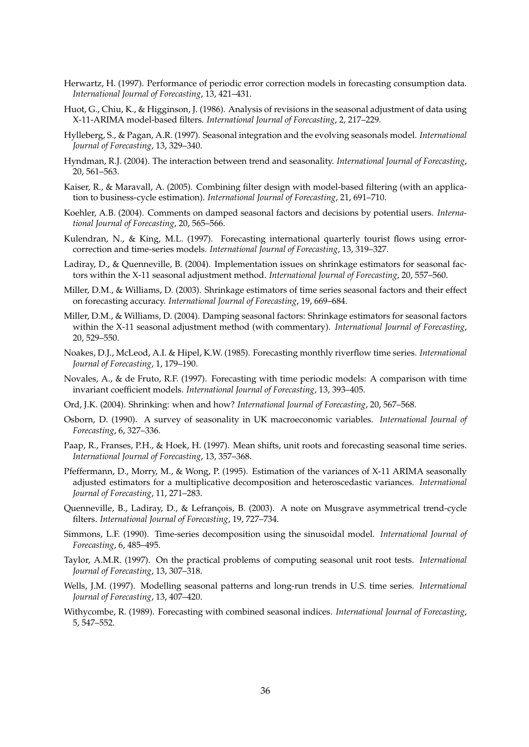- Herwartz, H. (1997). Performance of periodic error correction models in forecasting consumption data. *International Journal of Forecasting*, 13, 421–431.
- Huot, G., Chiu, K., & Higginson, J. (1986). Analysis of revisions in the seasonal adjustment of data using X-11-ARIMA model-based filters. *International Journal of Forecasting*, 2, 217–229.
- Hylleberg, S., & Pagan, A.R. (1997). Seasonal integration and the evolving seasonals model. *International Journal of Forecasting*, 13, 329–340.
- Hyndman, R.J. (2004). The interaction between trend and seasonality. *International Journal of Forecasting*, 20, 561–563.
- Kaiser, R., & Maravall, A. (2005). Combining filter design with model-based filtering (with an application to business-cycle estimation). *International Journal of Forecasting*, 21, 691–710.
- Koehler, A.B. (2004). Comments on damped seasonal factors and decisions by potential users. *International Journal of Forecasting*, 20, 565–566.
- Kulendran, N., & King, M.L. (1997). Forecasting international quarterly tourist flows using errorcorrection and time-series models. *International Journal of Forecasting*, 13, 319–327.
- Ladiray, D., & Quenneville, B. (2004). Implementation issues on shrinkage estimators for seasonal factors within the X-11 seasonal adjustment method. *International Journal of Forecasting*, 20, 557–560.
- Miller, D.M., & Williams, D. (2003). Shrinkage estimators of time series seasonal factors and their effect on forecasting accuracy. *International Journal of Forecasting*, 19, 669–684.
- Miller, D.M., & Williams, D. (2004). Damping seasonal factors: Shrinkage estimators for seasonal factors within the X-11 seasonal adjustment method (with commentary). *International Journal of Forecasting*, 20, 529–550.
- Noakes, D.J., McLeod, A.I. & Hipel, K.W. (1985). Forecasting monthly riverflow time series. *International Journal of Forecasting*, 1, 179–190.
- Novales, A., & de Fruto, R.F. (1997). Forecasting with time periodic models: A comparison with time invariant coefficient models. *International Journal of Forecasting*, 13, 393–405.
- Ord, J.K. (2004). Shrinking: when and how? *International Journal of Forecasting*, 20, 567–568.
- Osborn, D. (1990). A survey of seasonality in UK macroeconomic variables. *International Journal of Forecasting*, 6, 327–336.
- Paap, R., Franses, P.H., & Hoek, H. (1997). Mean shifts, unit roots and forecasting seasonal time series. *International Journal of Forecasting*, 13, 357–368.
- Pfeffermann, D., Morry, M., & Wong, P. (1995). Estimation of the variances of X-11 ARIMA seasonally adjusted estimators for a multiplicative decomposition and heteroscedastic variances. *International Journal of Forecasting*, 11, 271–283.
- Quenneville, B., Ladiray, D., & Lefrançois, B. (2003). A note on Musgrave asymmetrical trend-cycle filters. *International Journal of Forecasting*, 19, 727–734.
- Simmons, L.F. (1990). Time-series decomposition using the sinusoidal model. *International Journal of Forecasting*, 6, 485–495.
- Taylor, A.M.R. (1997). On the practical problems of computing seasonal unit root tests. *International Journal of Forecasting*, 13, 307–318.
- Wells, J.M. (1997). Modelling seasonal patterns and long-run trends in U.S. time series. *International Journal of Forecasting*, 13, 407–420.
- Withycombe, R. (1989). Forecasting with combined seasonal indices. *International Journal of Forecasting*, 5, 547–552.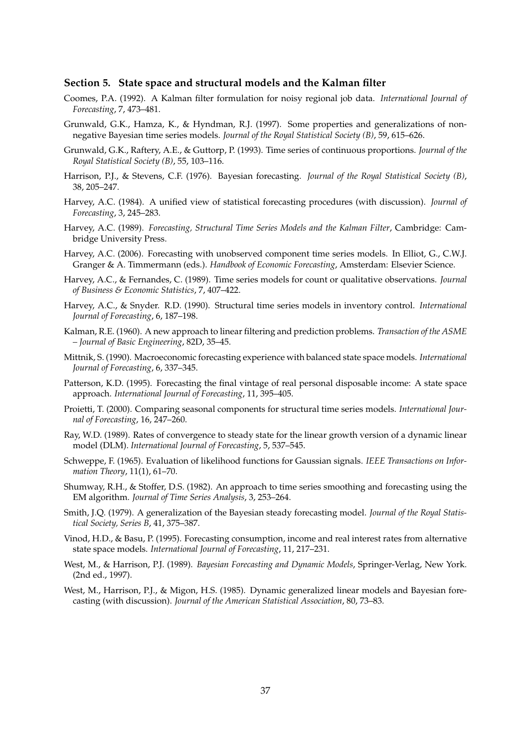#### **Section 5. State space and structural models and the Kalman filter**

- Coomes, P.A. (1992). A Kalman filter formulation for noisy regional job data. *International Journal of Forecasting*, 7, 473–481.
- Grunwald, G.K., Hamza, K., & Hyndman, R.J. (1997). Some properties and generalizations of nonnegative Bayesian time series models. *Journal of the Royal Statistical Society (B)*, 59, 615–626.
- Grunwald, G.K., Raftery, A.E., & Guttorp, P. (1993). Time series of continuous proportions. *Journal of the Royal Statistical Society (B)*, 55, 103–116.
- Harrison, P.J., & Stevens, C.F. (1976). Bayesian forecasting. *Journal of the Royal Statistical Society (B)*, 38, 205–247.
- Harvey, A.C. (1984). A unified view of statistical forecasting procedures (with discussion). *Journal of Forecasting*, 3, 245–283.
- Harvey, A.C. (1989). *Forecasting, Structural Time Series Models and the Kalman Filter*, Cambridge: Cambridge University Press.
- Harvey, A.C. (2006). Forecasting with unobserved component time series models. In Elliot, G., C.W.J. Granger & A. Timmermann (eds.). *Handbook of Economic Forecasting*, Amsterdam: Elsevier Science.
- Harvey, A.C., & Fernandes, C. (1989). Time series models for count or qualitative observations. *Journal of Business & Economic Statistics*, 7, 407–422.
- Harvey, A.C., & Snyder. R.D. (1990). Structural time series models in inventory control. *International Journal of Forecasting*, 6, 187–198.
- Kalman, R.E. (1960). A new approach to linear filtering and prediction problems. *Transaction of the ASME – Journal of Basic Engineering*, 82D, 35–45.
- Mittnik, S. (1990). Macroeconomic forecasting experience with balanced state space models. *International Journal of Forecasting*, 6, 337–345.
- Patterson, K.D. (1995). Forecasting the final vintage of real personal disposable income: A state space approach. *International Journal of Forecasting*, 11, 395–405.
- Proietti, T. (2000). Comparing seasonal components for structural time series models. *International Journal of Forecasting*, 16, 247–260.
- Ray, W.D. (1989). Rates of convergence to steady state for the linear growth version of a dynamic linear model (DLM). *International Journal of Forecasting*, 5, 537–545.
- Schweppe, F. (1965). Evaluation of likelihood functions for Gaussian signals. *IEEE Transactions on Information Theory*, 11(1), 61–70.
- Shumway, R.H., & Stoffer, D.S. (1982). An approach to time series smoothing and forecasting using the EM algorithm. *Journal of Time Series Analysis*, 3, 253–264.
- Smith, J.Q. (1979). A generalization of the Bayesian steady forecasting model. *Journal of the Royal Statistical Society, Series B*, 41, 375–387.
- Vinod, H.D., & Basu, P. (1995). Forecasting consumption, income and real interest rates from alternative state space models. *International Journal of Forecasting*, 11, 217–231.
- West, M., & Harrison, P.J. (1989). *Bayesian Forecasting and Dynamic Models*, Springer-Verlag, New York. (2nd ed., 1997).
- West, M., Harrison, P.J., & Migon, H.S. (1985). Dynamic generalized linear models and Bayesian forecasting (with discussion). *Journal of the American Statistical Association*, 80, 73–83.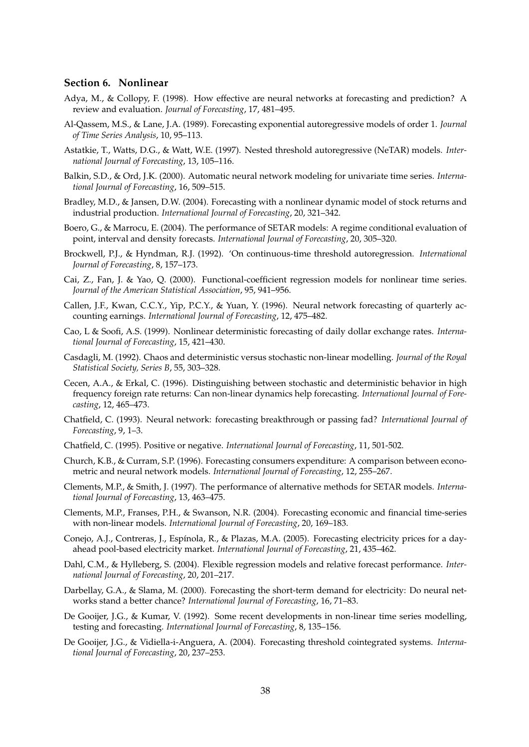#### **Section 6. Nonlinear**

- Adya, M., & Collopy, F. (1998). How effective are neural networks at forecasting and prediction? A review and evaluation. *Journal of Forecasting*, 17, 481–495.
- Al-Qassem, M.S., & Lane, J.A. (1989). Forecasting exponential autoregressive models of order 1. *Journal of Time Series Analysis*, 10, 95–113.
- Astatkie, T., Watts, D.G., & Watt, W.E. (1997). Nested threshold autoregressive (NeTAR) models. *International Journal of Forecasting*, 13, 105–116.
- Balkin, S.D., & Ord, J.K. (2000). Automatic neural network modeling for univariate time series. *International Journal of Forecasting*, 16, 509–515.
- Bradley, M.D., & Jansen, D.W. (2004). Forecasting with a nonlinear dynamic model of stock returns and industrial production. *International Journal of Forecasting*, 20, 321–342.
- Boero, G., & Marrocu, E. (2004). The performance of SETAR models: A regime conditional evaluation of point, interval and density forecasts. *International Journal of Forecasting*, 20, 305–320.
- Brockwell, P.J., & Hyndman, R.J. (1992). 'On continuous-time threshold autoregression. *International Journal of Forecasting*, 8, 157–173.
- Cai, Z., Fan, J. & Yao, Q. (2000). Functional-coefficient regression models for nonlinear time series. *Journal of the American Statistical Association*, 95, 941–956.
- Callen, J.F., Kwan, C.C.Y., Yip, P.C.Y., & Yuan, Y. (1996). Neural network forecasting of quarterly accounting earnings. *International Journal of Forecasting*, 12, 475–482.
- Cao, L & Soofi, A.S. (1999). Nonlinear deterministic forecasting of daily dollar exchange rates. *International Journal of Forecasting*, 15, 421–430.
- Casdagli, M. (1992). Chaos and deterministic versus stochastic non-linear modelling. *Journal of the Royal Statistical Society, Series B*, 55, 303–328.
- Cecen, A.A., & Erkal, C. (1996). Distinguishing between stochastic and deterministic behavior in high frequency foreign rate returns: Can non-linear dynamics help forecasting. *International Journal of Forecasting*, 12, 465–473.
- Chatfield, C. (1993). Neural network: forecasting breakthrough or passing fad? *International Journal of Forecasting*, 9, 1–3.
- Chatfield, C. (1995). Positive or negative. *International Journal of Forecasting*, 11, 501-502.
- Church, K.B., & Curram, S.P. (1996). Forecasting consumers expenditure: A comparison between econometric and neural network models. *International Journal of Forecasting*, 12, 255–267.
- Clements, M.P., & Smith, J. (1997). The performance of alternative methods for SETAR models. *International Journal of Forecasting*, 13, 463–475.
- Clements, M.P., Franses, P.H., & Swanson, N.R. (2004). Forecasting economic and financial time-series with non-linear models. *International Journal of Forecasting*, 20, 169–183.
- Conejo, A.J., Contreras, J., Espínola, R., & Plazas, M.A. (2005). Forecasting electricity prices for a dayahead pool-based electricity market. *International Journal of Forecasting*, 21, 435–462.
- Dahl, C.M., & Hylleberg, S. (2004). Flexible regression models and relative forecast performance. *International Journal of Forecasting*, 20, 201–217.
- Darbellay, G.A., & Slama, M. (2000). Forecasting the short-term demand for electricity: Do neural networks stand a better chance? *International Journal of Forecasting*, 16, 71–83.
- De Gooijer, J.G., & Kumar, V. (1992). Some recent developments in non-linear time series modelling, testing and forecasting. *International Journal of Forecasting*, 8, 135–156.
- De Gooijer, J.G., & Vidiella-i-Anguera, A. (2004). Forecasting threshold cointegrated systems. *International Journal of Forecasting*, 20, 237–253.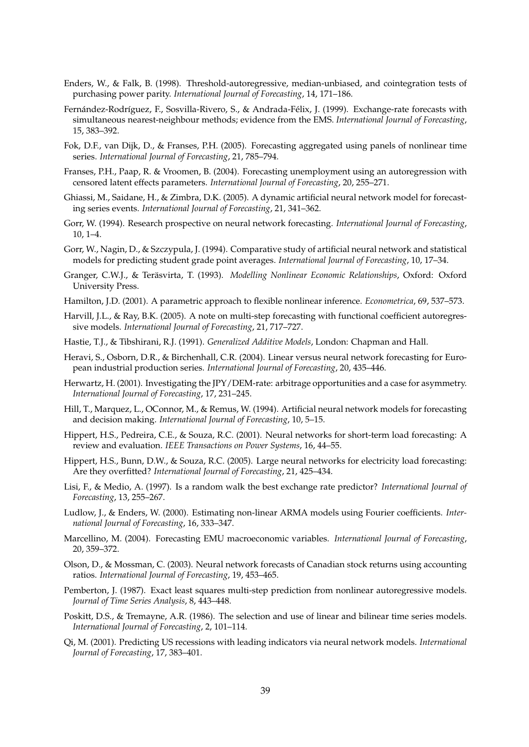- Enders, W., & Falk, B. (1998). Threshold-autoregressive, median-unbiased, and cointegration tests of purchasing power parity. *International Journal of Forecasting*, 14, 171–186.
- Fernández-Rodríguez, F., Sosvilla-Rivero, S., & Andrada-Félix, J. (1999). Exchange-rate forecasts with simultaneous nearest-neighbour methods; evidence from the EMS. *International Journal of Forecasting*, 15, 383–392.
- Fok, D.F., van Dijk, D., & Franses, P.H. (2005). Forecasting aggregated using panels of nonlinear time series. *International Journal of Forecasting*, 21, 785–794.
- Franses, P.H., Paap, R. & Vroomen, B. (2004). Forecasting unemployment using an autoregression with censored latent effects parameters. *International Journal of Forecasting*, 20, 255–271.
- Ghiassi, M., Saidane, H., & Zimbra, D.K. (2005). A dynamic artificial neural network model for forecasting series events. *International Journal of Forecasting*, 21, 341–362.
- Gorr, W. (1994). Research prospective on neural network forecasting. *International Journal of Forecasting*, 10, 1–4.
- Gorr, W., Nagin, D., & Szczypula, J. (1994). Comparative study of artificial neural network and statistical models for predicting student grade point averages. *International Journal of Forecasting*, 10, 17–34.
- Granger, C.W.J., & Terasvirta, T. (1993). ¨ *Modelling Nonlinear Economic Relationships*, Oxford: Oxford University Press.
- Hamilton, J.D. (2001). A parametric approach to flexible nonlinear inference. *Econometrica*, 69, 537–573.
- Harvill, J.L., & Ray, B.K. (2005). A note on multi-step forecasting with functional coefficient autoregressive models. *International Journal of Forecasting*, 21, 717–727.
- Hastie, T.J., & Tibshirani, R.J. (1991). *Generalized Additive Models*, London: Chapman and Hall.
- Heravi, S., Osborn, D.R., & Birchenhall, C.R. (2004). Linear versus neural network forecasting for European industrial production series. *International Journal of Forecasting*, 20, 435–446.
- Herwartz, H. (2001). Investigating the JPY/DEM-rate: arbitrage opportunities and a case for asymmetry. *International Journal of Forecasting*, 17, 231–245.
- Hill, T., Marquez, L., OConnor, M., & Remus, W. (1994). Artificial neural network models for forecasting and decision making. *International Journal of Forecasting*, 10, 5–15.
- Hippert, H.S., Pedreira, C.E., & Souza, R.C. (2001). Neural networks for short-term load forecasting: A review and evaluation. *IEEE Transactions on Power Systems*, 16, 44–55.
- Hippert, H.S., Bunn, D.W., & Souza, R.C. (2005). Large neural networks for electricity load forecasting: Are they overfitted? *International Journal of Forecasting*, 21, 425–434.
- Lisi, F., & Medio, A. (1997). Is a random walk the best exchange rate predictor? *International Journal of Forecasting*, 13, 255–267.
- Ludlow, J., & Enders, W. (2000). Estimating non-linear ARMA models using Fourier coefficients. *International Journal of Forecasting*, 16, 333–347.
- Marcellino, M. (2004). Forecasting EMU macroeconomic variables. *International Journal of Forecasting*, 20, 359–372.
- Olson, D., & Mossman, C. (2003). Neural network forecasts of Canadian stock returns using accounting ratios. *International Journal of Forecasting*, 19, 453–465.
- Pemberton, J. (1987). Exact least squares multi-step prediction from nonlinear autoregressive models. *Journal of Time Series Analysis*, 8, 443–448.
- Poskitt, D.S., & Tremayne, A.R. (1986). The selection and use of linear and bilinear time series models. *International Journal of Forecasting*, 2, 101–114.
- Qi, M. (2001). Predicting US recessions with leading indicators via neural network models. *International Journal of Forecasting*, 17, 383–401.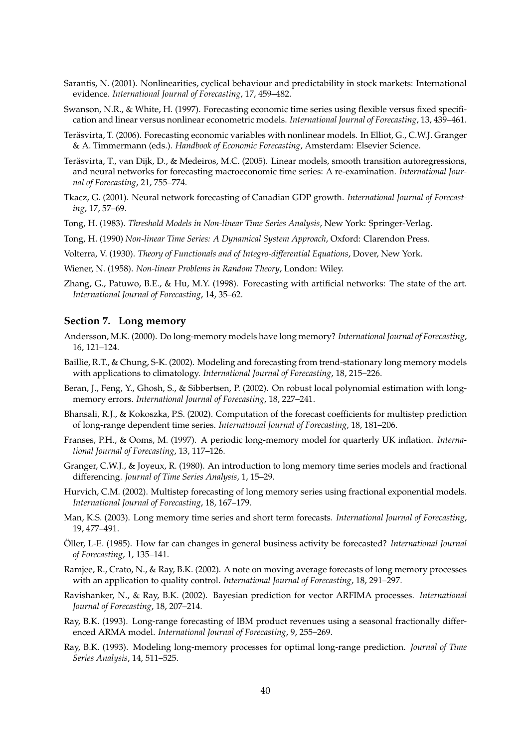- Sarantis, N. (2001). Nonlinearities, cyclical behaviour and predictability in stock markets: International evidence. *International Journal of Forecasting*, 17, 459–482.
- Swanson, N.R., & White, H. (1997). Forecasting economic time series using flexible versus fixed specification and linear versus nonlinear econometric models. *International Journal of Forecasting*, 13, 439–461.
- Terasvirta, T. (2006). Forecasting economic variables with nonlinear models. In Elliot, G., C.W.J. Granger ¨ & A. Timmermann (eds.). *Handbook of Economic Forecasting*, Amsterdam: Elsevier Science.
- Teräsvirta, T., van Dijk, D., & Medeiros, M.C. (2005). Linear models, smooth transition autoregressions, and neural networks for forecasting macroeconomic time series: A re-examination. *International Journal of Forecasting*, 21, 755–774.
- Tkacz, G. (2001). Neural network forecasting of Canadian GDP growth. *International Journal of Forecasting*, 17, 57–69.
- Tong, H. (1983). *Threshold Models in Non-linear Time Series Analysis*, New York: Springer-Verlag.
- Tong, H. (1990) *Non-linear Time Series: A Dynamical System Approach*, Oxford: Clarendon Press.
- Volterra, V. (1930). *Theory of Functionals and of Integro-differential Equations*, Dover, New York.
- Wiener, N. (1958). *Non-linear Problems in Random Theory*, London: Wiley.
- Zhang, G., Patuwo, B.E., & Hu, M.Y. (1998). Forecasting with artificial networks: The state of the art. *International Journal of Forecasting*, 14, 35–62.

#### **Section 7. Long memory**

- Andersson, M.K. (2000). Do long-memory models have long memory? *International Journal of Forecasting*, 16, 121–124.
- Baillie, R.T., & Chung, S-K. (2002). Modeling and forecasting from trend-stationary long memory models with applications to climatology. *International Journal of Forecasting*, 18, 215–226.
- Beran, J., Feng, Y., Ghosh, S., & Sibbertsen, P. (2002). On robust local polynomial estimation with longmemory errors. *International Journal of Forecasting*, 18, 227–241.
- Bhansali, R.J., & Kokoszka, P.S. (2002). Computation of the forecast coefficients for multistep prediction of long-range dependent time series. *International Journal of Forecasting*, 18, 181–206.
- Franses, P.H., & Ooms, M. (1997). A periodic long-memory model for quarterly UK inflation. *International Journal of Forecasting*, 13, 117–126.
- Granger, C.W.J., & Joyeux, R. (1980). An introduction to long memory time series models and fractional differencing. *Journal of Time Series Analysis*, 1, 15–29.
- Hurvich, C.M. (2002). Multistep forecasting of long memory series using fractional exponential models. *International Journal of Forecasting*, 18, 167–179.
- Man, K.S. (2003). Long memory time series and short term forecasts. *International Journal of Forecasting*, 19, 477–491.
- Öller, L-E. (1985). How far can changes in general business activity be forecasted? International Journal *of Forecasting*, 1, 135–141.
- Ramjee, R., Crato, N., & Ray, B.K. (2002). A note on moving average forecasts of long memory processes with an application to quality control. *International Journal of Forecasting*, 18, 291–297.
- Ravishanker, N., & Ray, B.K. (2002). Bayesian prediction for vector ARFIMA processes. *International Journal of Forecasting*, 18, 207–214.
- Ray, B.K. (1993). Long-range forecasting of IBM product revenues using a seasonal fractionally differenced ARMA model. *International Journal of Forecasting*, 9, 255–269.
- Ray, B.K. (1993). Modeling long-memory processes for optimal long-range prediction. *Journal of Time Series Analysis*, 14, 511–525.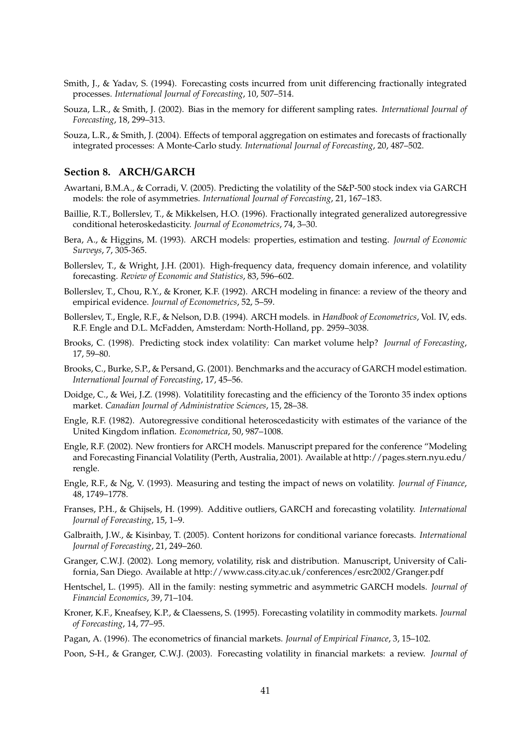- Smith, J., & Yadav, S. (1994). Forecasting costs incurred from unit differencing fractionally integrated processes. *International Journal of Forecasting*, 10, 507–514.
- Souza, L.R., & Smith, J. (2002). Bias in the memory for different sampling rates. *International Journal of Forecasting*, 18, 299–313.
- Souza, L.R., & Smith, J. (2004). Effects of temporal aggregation on estimates and forecasts of fractionally integrated processes: A Monte-Carlo study. *International Journal of Forecasting*, 20, 487–502.

#### **Section 8. ARCH/GARCH**

- Awartani, B.M.A., & Corradi, V. (2005). Predicting the volatility of the S&P-500 stock index via GARCH models: the role of asymmetries. *International Journal of Forecasting*, 21, 167–183.
- Baillie, R.T., Bollerslev, T., & Mikkelsen, H.O. (1996). Fractionally integrated generalized autoregressive conditional heteroskedasticity. *Journal of Econometrics*, 74, 3–30.
- Bera, A., & Higgins, M. (1993). ARCH models: properties, estimation and testing. *Journal of Economic Surveys*, 7, 305-365.
- Bollerslev, T., & Wright, J.H. (2001). High-frequency data, frequency domain inference, and volatility forecasting. *Review of Economic and Statistics*, 83, 596–602.
- Bollerslev, T., Chou, R.Y., & Kroner, K.F. (1992). ARCH modeling in finance: a review of the theory and empirical evidence. *Journal of Econometrics*, 52, 5–59.
- Bollerslev, T., Engle, R.F., & Nelson, D.B. (1994). ARCH models. in *Handbook of Econometrics*, Vol. IV, eds. R.F. Engle and D.L. McFadden, Amsterdam: North-Holland, pp. 2959–3038.
- Brooks, C. (1998). Predicting stock index volatility: Can market volume help? *Journal of Forecasting*, 17, 59–80.
- Brooks, C., Burke, S.P., & Persand, G. (2001). Benchmarks and the accuracy of GARCH model estimation. *International Journal of Forecasting*, 17, 45–56.
- Doidge, C., & Wei, J.Z. (1998). Volatitility forecasting and the efficiency of the Toronto 35 index options market. *Canadian Journal of Administrative Sciences*, 15, 28–38.
- Engle, R.F. (1982). Autoregressive conditional heteroscedasticity with estimates of the variance of the United Kingdom inflation. *Econometrica*, 50, 987–1008.
- Engle, R.F. (2002). New frontiers for ARCH models. Manuscript prepared for the conference "Modeling and Forecasting Financial Volatility (Perth, Australia, 2001). Available at http://pages.stern.nyu.edu/ rengle.
- Engle, R.F., & Ng, V. (1993). Measuring and testing the impact of news on volatility. *Journal of Finance*, 48, 1749–1778.
- Franses, P.H., & Ghijsels, H. (1999). Additive outliers, GARCH and forecasting volatility. *International Journal of Forecasting*, 15, 1–9.
- Galbraith, J.W., & Kisinbay, T. (2005). Content horizons for conditional variance forecasts. *International Journal of Forecasting*, 21, 249–260.
- Granger, C.W.J. (2002). Long memory, volatility, risk and distribution. Manuscript, University of California, San Diego. Available at http://www.cass.city.ac.uk/conferences/esrc2002/Granger.pdf
- Hentschel, L. (1995). All in the family: nesting symmetric and asymmetric GARCH models. *Journal of Financial Economics*, 39, 71–104.
- Kroner, K.F., Kneafsey, K.P., & Claessens, S. (1995). Forecasting volatility in commodity markets. *Journal of Forecasting*, 14, 77–95.
- Pagan, A. (1996). The econometrics of financial markets. *Journal of Empirical Finance*, 3, 15–102.
- Poon, S-H., & Granger, C.W.J. (2003). Forecasting volatility in financial markets: a review. *Journal of*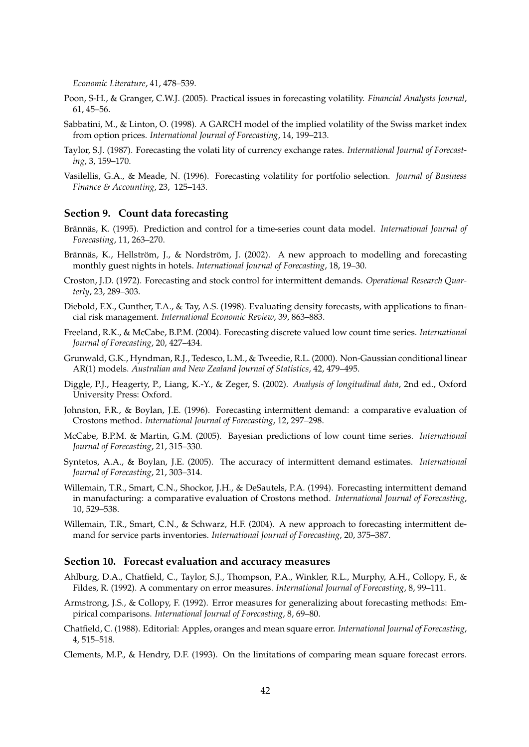*Economic Literature*, 41, 478–539.

- Poon, S-H., & Granger, C.W.J. (2005). Practical issues in forecasting volatility. *Financial Analysts Journal*, 61, 45–56.
- Sabbatini, M., & Linton, O. (1998). A GARCH model of the implied volatility of the Swiss market index from option prices. *International Journal of Forecasting*, 14, 199–213.
- Taylor, S.J. (1987). Forecasting the volati lity of currency exchange rates. *International Journal of Forecasting*, 3, 159–170.
- Vasilellis, G.A., & Meade, N. (1996). Forecasting volatility for portfolio selection. *Journal of Business Finance & Accounting*, 23, 125–143.

#### **Section 9. Count data forecasting**

- Brännäs, K. (1995). Prediction and control for a time-series count data model. *International Journal of Forecasting*, 11, 263–270.
- Brännäs, K., Hellström, J., & Nordström, J. (2002). A new approach to modelling and forecasting monthly guest nights in hotels. *International Journal of Forecasting*, 18, 19–30.
- Croston, J.D. (1972). Forecasting and stock control for intermittent demands. *Operational Research Quarterly*, 23, 289–303.
- Diebold, F.X., Gunther, T.A., & Tay, A.S. (1998). Evaluating density forecasts, with applications to financial risk management. *International Economic Review*, 39, 863–883.
- Freeland, R.K., & McCabe, B.P.M. (2004). Forecasting discrete valued low count time series. *International Journal of Forecasting*, 20, 427–434.
- Grunwald, G.K., Hyndman, R.J., Tedesco, L.M., & Tweedie, R.L. (2000). Non-Gaussian conditional linear AR(1) models. *Australian and New Zealand Journal of Statistics*, 42, 479–495.
- Diggle, P.J., Heagerty, P., Liang, K.-Y., & Zeger, S. (2002). *Analysis of longitudinal data*, 2nd ed., Oxford University Press: Oxford.
- Johnston, F.R., & Boylan, J.E. (1996). Forecasting intermittent demand: a comparative evaluation of Crostons method. *International Journal of Forecasting*, 12, 297–298.
- McCabe, B.P.M. & Martin, G.M. (2005). Bayesian predictions of low count time series. *International Journal of Forecasting*, 21, 315–330.
- Syntetos, A.A., & Boylan, J.E. (2005). The accuracy of intermittent demand estimates. *International Journal of Forecasting*, 21, 303–314.
- Willemain, T.R., Smart, C.N., Shockor, J.H., & DeSautels, P.A. (1994). Forecasting intermittent demand in manufacturing: a comparative evaluation of Crostons method. *International Journal of Forecasting*, 10, 529–538.
- Willemain, T.R., Smart, C.N., & Schwarz, H.F. (2004). A new approach to forecasting intermittent demand for service parts inventories. *International Journal of Forecasting*, 20, 375–387.

#### **Section 10. Forecast evaluation and accuracy measures**

- Ahlburg, D.A., Chatfield, C., Taylor, S.J., Thompson, P.A., Winkler, R.L., Murphy, A.H., Collopy, F., & Fildes, R. (1992). A commentary on error measures. *International Journal of Forecasting*, 8, 99–111.
- Armstrong, J.S., & Collopy, F. (1992). Error measures for generalizing about forecasting methods: Empirical comparisons. *International Journal of Forecasting*, 8, 69–80.
- Chatfield, C. (1988). Editorial: Apples, oranges and mean square error. *International Journal of Forecasting*, 4, 515–518.
- Clements, M.P., & Hendry, D.F. (1993). On the limitations of comparing mean square forecast errors.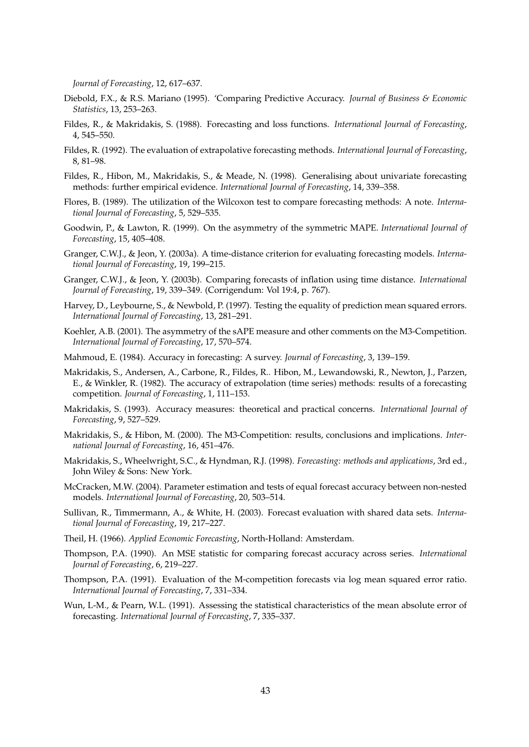*Journal of Forecasting*, 12, 617–637.

- Diebold, F.X., & R.S. Mariano (1995). 'Comparing Predictive Accuracy. *Journal of Business & Economic Statistics*, 13, 253–263.
- Fildes, R., & Makridakis, S. (1988). Forecasting and loss functions. *International Journal of Forecasting*, 4, 545–550.
- Fildes, R. (1992). The evaluation of extrapolative forecasting methods. *International Journal of Forecasting*, 8, 81–98.
- Fildes, R., Hibon, M., Makridakis, S., & Meade, N. (1998). Generalising about univariate forecasting methods: further empirical evidence. *International Journal of Forecasting*, 14, 339–358.
- Flores, B. (1989). The utilization of the Wilcoxon test to compare forecasting methods: A note. *International Journal of Forecasting*, 5, 529–535.
- Goodwin, P., & Lawton, R. (1999). On the asymmetry of the symmetric MAPE. *International Journal of Forecasting*, 15, 405–408.
- Granger, C.W.J., & Jeon, Y. (2003a). A time-distance criterion for evaluating forecasting models. *International Journal of Forecasting*, 19, 199–215.
- Granger, C.W.J., & Jeon, Y. (2003b). Comparing forecasts of inflation using time distance. *International Journal of Forecasting*, 19, 339–349. (Corrigendum: Vol 19:4, p. 767).
- Harvey, D., Leybourne, S., & Newbold, P. (1997). Testing the equality of prediction mean squared errors. *International Journal of Forecasting*, 13, 281–291.
- Koehler, A.B. (2001). The asymmetry of the sAPE measure and other comments on the M3-Competition. *International Journal of Forecasting*, 17, 570–574.
- Mahmoud, E. (1984). Accuracy in forecasting: A survey. *Journal of Forecasting*, 3, 139–159.
- Makridakis, S., Andersen, A., Carbone, R., Fildes, R.. Hibon, M., Lewandowski, R., Newton, J., Parzen, E., & Winkler, R. (1982). The accuracy of extrapolation (time series) methods: results of a forecasting competition. *Journal of Forecasting*, 1, 111–153.
- Makridakis, S. (1993). Accuracy measures: theoretical and practical concerns. *International Journal of Forecasting*, 9, 527–529.
- Makridakis, S., & Hibon, M. (2000). The M3-Competition: results, conclusions and implications. *International Journal of Forecasting*, 16, 451–476.
- Makridakis, S., Wheelwright, S.C., & Hyndman, R.J. (1998). *Forecasting: methods and applications*, 3rd ed., John Wiley & Sons: New York.
- McCracken, M.W. (2004). Parameter estimation and tests of equal forecast accuracy between non-nested models. *International Journal of Forecasting*, 20, 503–514.
- Sullivan, R., Timmermann, A., & White, H. (2003). Forecast evaluation with shared data sets. *International Journal of Forecasting*, 19, 217–227.
- Theil, H. (1966). *Applied Economic Forecasting*, North-Holland: Amsterdam.
- Thompson, P.A. (1990). An MSE statistic for comparing forecast accuracy across series. *International Journal of Forecasting*, 6, 219–227.
- Thompson, P.A. (1991). Evaluation of the M-competition forecasts via log mean squared error ratio. *International Journal of Forecasting*, 7, 331–334.
- Wun, L-M., & Pearn, W.L. (1991). Assessing the statistical characteristics of the mean absolute error of forecasting. *International Journal of Forecasting*, 7, 335–337.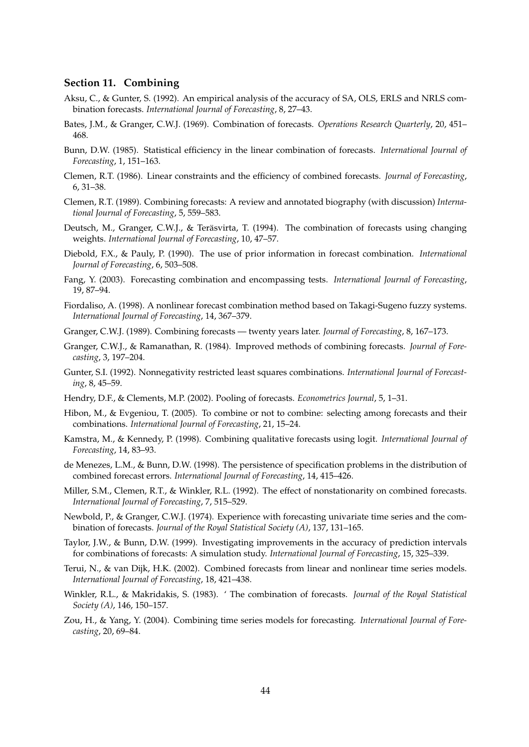#### **Section 11. Combining**

- Aksu, C., & Gunter, S. (1992). An empirical analysis of the accuracy of SA, OLS, ERLS and NRLS combination forecasts. *International Journal of Forecasting*, 8, 27–43.
- Bates, J.M., & Granger, C.W.J. (1969). Combination of forecasts. *Operations Research Quarterly*, 20, 451– 468.
- Bunn, D.W. (1985). Statistical efficiency in the linear combination of forecasts. *International Journal of Forecasting*, 1, 151–163.
- Clemen, R.T. (1986). Linear constraints and the efficiency of combined forecasts. *Journal of Forecasting*, 6, 31–38.
- Clemen, R.T. (1989). Combining forecasts: A review and annotated biography (with discussion) *International Journal of Forecasting*, 5, 559–583.
- Deutsch, M., Granger, C.W.J., & Teräsvirta, T. (1994). The combination of forecasts using changing weights. *International Journal of Forecasting*, 10, 47–57.
- Diebold, F.X., & Pauly, P. (1990). The use of prior information in forecast combination. *International Journal of Forecasting*, 6, 503–508.
- Fang, Y. (2003). Forecasting combination and encompassing tests. *International Journal of Forecasting*, 19, 87–94.
- Fiordaliso, A. (1998). A nonlinear forecast combination method based on Takagi-Sugeno fuzzy systems. *International Journal of Forecasting*, 14, 367–379.
- Granger, C.W.J. (1989). Combining forecasts twenty years later. *Journal of Forecasting*, 8, 167–173.
- Granger, C.W.J., & Ramanathan, R. (1984). Improved methods of combining forecasts. *Journal of Forecasting*, 3, 197–204.
- Gunter, S.I. (1992). Nonnegativity restricted least squares combinations. *International Journal of Forecasting*, 8, 45–59.
- Hendry, D.F., & Clements, M.P. (2002). Pooling of forecasts. *Econometrics Journal*, 5, 1–31.
- Hibon, M., & Evgeniou, T. (2005). To combine or not to combine: selecting among forecasts and their combinations. *International Journal of Forecasting*, 21, 15–24.
- Kamstra, M., & Kennedy, P. (1998). Combining qualitative forecasts using logit. *International Journal of Forecasting*, 14, 83–93.
- de Menezes, L.M., & Bunn, D.W. (1998). The persistence of specification problems in the distribution of combined forecast errors. *International Journal of Forecasting*, 14, 415–426.
- Miller, S.M., Clemen, R.T., & Winkler, R.L. (1992). The effect of nonstationarity on combined forecasts. *International Journal of Forecasting*, 7, 515–529.
- Newbold, P., & Granger, C.W.J. (1974). Experience with forecasting univariate time series and the combination of forecasts. *Journal of the Royal Statistical Society (A)*, 137, 131–165.
- Taylor, J.W., & Bunn, D.W. (1999). Investigating improvements in the accuracy of prediction intervals for combinations of forecasts: A simulation study. *International Journal of Forecasting*, 15, 325–339.
- Terui, N., & van Dijk, H.K. (2002). Combined forecasts from linear and nonlinear time series models. *International Journal of Forecasting*, 18, 421–438.
- Winkler, R.L., & Makridakis, S. (1983). ' The combination of forecasts. *Journal of the Royal Statistical Society (A)*, 146, 150–157.
- Zou, H., & Yang, Y. (2004). Combining time series models for forecasting. *International Journal of Forecasting*, 20, 69–84.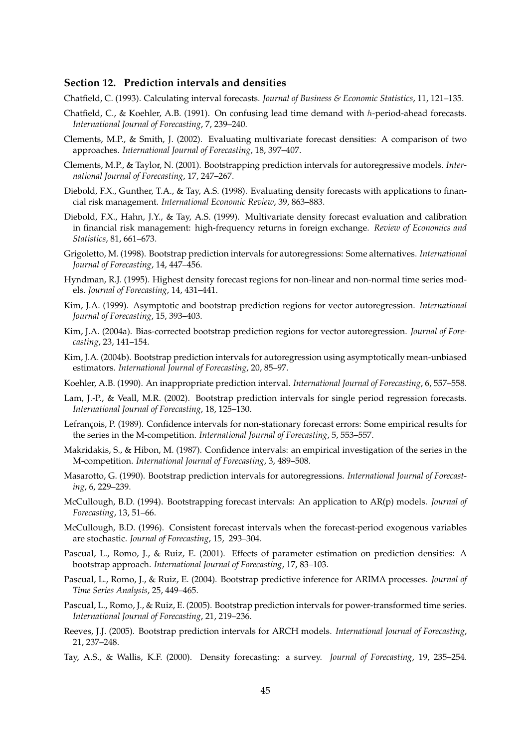#### **Section 12. Prediction intervals and densities**

Chatfield, C. (1993). Calculating interval forecasts. *Journal of Business & Economic Statistics*, 11, 121–135.

- Chatfield, C., & Koehler, A.B. (1991). On confusing lead time demand with h-period-ahead forecasts. *International Journal of Forecasting*, 7, 239–240.
- Clements, M.P., & Smith, J. (2002). Evaluating multivariate forecast densities: A comparison of two approaches. *International Journal of Forecasting*, 18, 397–407.
- Clements, M.P., & Taylor, N. (2001). Bootstrapping prediction intervals for autoregressive models. *International Journal of Forecasting*, 17, 247–267.
- Diebold, F.X., Gunther, T.A., & Tay, A.S. (1998). Evaluating density forecasts with applications to financial risk management. *International Economic Review*, 39, 863–883.
- Diebold, F.X., Hahn, J.Y., & Tay, A.S. (1999). Multivariate density forecast evaluation and calibration in financial risk management: high-frequency returns in foreign exchange. *Review of Economics and Statistics*, 81, 661–673.
- Grigoletto, M. (1998). Bootstrap prediction intervals for autoregressions: Some alternatives. *International Journal of Forecasting*, 14, 447–456.
- Hyndman, R.J. (1995). Highest density forecast regions for non-linear and non-normal time series models. *Journal of Forecasting*, 14, 431–441.
- Kim, J.A. (1999). Asymptotic and bootstrap prediction regions for vector autoregression. *International Journal of Forecasting*, 15, 393–403.
- Kim, J.A. (2004a). Bias-corrected bootstrap prediction regions for vector autoregression. *Journal of Forecasting*, 23, 141–154.
- Kim, J.A. (2004b). Bootstrap prediction intervals for autoregression using asymptotically mean-unbiased estimators. *International Journal of Forecasting*, 20, 85–97.
- Koehler, A.B. (1990). An inappropriate prediction interval. *International Journal of Forecasting*, 6, 557–558.
- Lam, J.-P., & Veall, M.R. (2002). Bootstrap prediction intervals for single period regression forecasts. *International Journal of Forecasting*, 18, 125–130.
- Lefrançois, P. (1989). Confidence intervals for non-stationary forecast errors: Some empirical results for the series in the M-competition. *International Journal of Forecasting*, 5, 553–557.
- Makridakis, S., & Hibon, M. (1987). Confidence intervals: an empirical investigation of the series in the M-competition. *International Journal of Forecasting*, 3, 489–508.
- Masarotto, G. (1990). Bootstrap prediction intervals for autoregressions. *International Journal of Forecasting*, 6, 229–239.
- McCullough, B.D. (1994). Bootstrapping forecast intervals: An application to AR(p) models. *Journal of Forecasting*, 13, 51–66.
- McCullough, B.D. (1996). Consistent forecast intervals when the forecast-period exogenous variables are stochastic. *Journal of Forecasting*, 15, 293–304.
- Pascual, L., Romo, J., & Ruiz, E. (2001). Effects of parameter estimation on prediction densities: A bootstrap approach. *International Journal of Forecasting*, 17, 83–103.
- Pascual, L., Romo, J., & Ruiz, E. (2004). Bootstrap predictive inference for ARIMA processes. *Journal of Time Series Analysis*, 25, 449–465.
- Pascual, L., Romo, J., & Ruiz, E. (2005). Bootstrap prediction intervals for power-transformed time series. *International Journal of Forecasting*, 21, 219–236.
- Reeves, J.J. (2005). Bootstrap prediction intervals for ARCH models. *International Journal of Forecasting*, 21, 237–248.
- Tay, A.S., & Wallis, K.F. (2000). Density forecasting: a survey. *Journal of Forecasting*, 19, 235–254.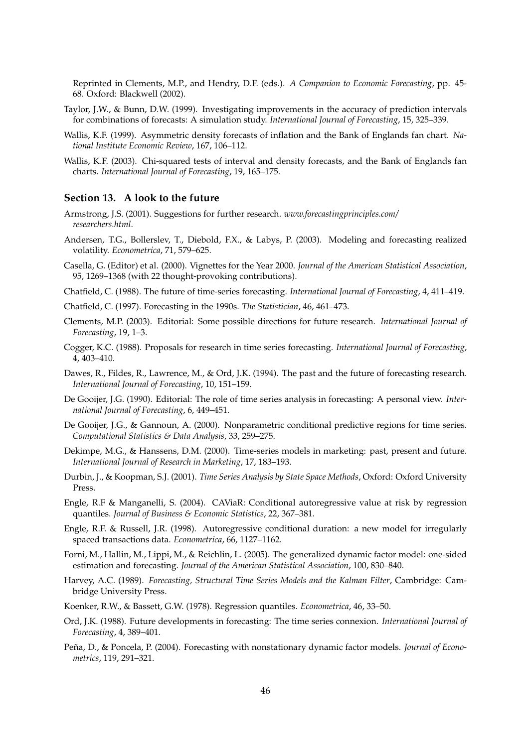Reprinted in Clements, M.P., and Hendry, D.F. (eds.). *A Companion to Economic Forecasting*, pp. 45- 68. Oxford: Blackwell (2002).

- Taylor, J.W., & Bunn, D.W. (1999). Investigating improvements in the accuracy of prediction intervals for combinations of forecasts: A simulation study. *International Journal of Forecasting*, 15, 325–339.
- Wallis, K.F. (1999). Asymmetric density forecasts of inflation and the Bank of Englands fan chart. *National Institute Economic Review*, 167, 106–112.
- Wallis, K.F. (2003). Chi-squared tests of interval and density forecasts, and the Bank of Englands fan charts. *International Journal of Forecasting*, 19, 165–175.

#### **Section 13. A look to the future**

- Armstrong, J.S. (2001). Suggestions for further research. *www.forecastingprinciples.com/ researchers.html*.
- Andersen, T.G., Bollerslev, T., Diebold, F.X., & Labys, P. (2003). Modeling and forecasting realized volatility. *Econometrica*, 71, 579–625.
- Casella, G. (Editor) et al. (2000). Vignettes for the Year 2000. *Journal of the American Statistical Association*, 95, 1269–1368 (with 22 thought-provoking contributions).
- Chatfield, C. (1988). The future of time-series forecasting. *International Journal of Forecasting*, 4, 411–419.
- Chatfield, C. (1997). Forecasting in the 1990s. *The Statistician*, 46, 461–473.
- Clements, M.P. (2003). Editorial: Some possible directions for future research. *International Journal of Forecasting*, 19, 1–3.
- Cogger, K.C. (1988). Proposals for research in time series forecasting. *International Journal of Forecasting*, 4, 403–410.
- Dawes, R., Fildes, R., Lawrence, M., & Ord, J.K. (1994). The past and the future of forecasting research. *International Journal of Forecasting*, 10, 151–159.
- De Gooijer, J.G. (1990). Editorial: The role of time series analysis in forecasting: A personal view. *International Journal of Forecasting*, 6, 449–451.
- De Gooijer, J.G., & Gannoun, A. (2000). Nonparametric conditional predictive regions for time series. *Computational Statistics & Data Analysis*, 33, 259–275.
- Dekimpe, M.G., & Hanssens, D.M. (2000). Time-series models in marketing: past, present and future. *International Journal of Research in Marketing*, 17, 183–193.
- Durbin, J., & Koopman, S.J. (2001). *Time Series Analysis by State Space Methods*, Oxford: Oxford University Press.
- Engle, R.F & Manganelli, S. (2004). CAViaR: Conditional autoregressive value at risk by regression quantiles. *Journal of Business & Economic Statistics*, 22, 367–381.
- Engle, R.F. & Russell, J.R. (1998). Autoregressive conditional duration: a new model for irregularly spaced transactions data. *Econometrica*, 66, 1127–1162.
- Forni, M., Hallin, M., Lippi, M., & Reichlin, L. (2005). The generalized dynamic factor model: one-sided estimation and forecasting. *Journal of the American Statistical Association*, 100, 830–840.
- Harvey, A.C. (1989). *Forecasting, Structural Time Series Models and the Kalman Filter*, Cambridge: Cambridge University Press.
- Koenker, R.W., & Bassett, G.W. (1978). Regression quantiles. *Econometrica*, 46, 33–50.
- Ord, J.K. (1988). Future developments in forecasting: The time series connexion. *International Journal of Forecasting*, 4, 389–401.
- Peña, D., & Poncela, P. (2004). Forecasting with nonstationary dynamic factor models. *Journal of Econometrics*, 119, 291–321.